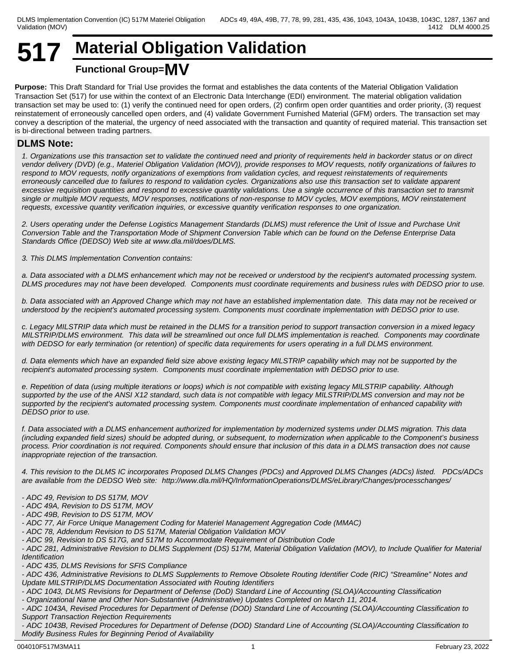## **517 Material Obligation Validation Functional Group=MV**

**Purpose:** This Draft Standard for Trial Use provides the format and establishes the data contents of the Material Obligation Validation Transaction Set (517) for use within the context of an Electronic Data Interchange (EDI) environment. The material obligation validation transaction set may be used to: (1) verify the continued need for open orders, (2) confirm open order quantities and order priority, (3) request reinstatement of erroneously cancelled open orders, and (4) validate Government Furnished Material (GFM) orders. The transaction set may convey a description of the material, the urgency of need associated with the transaction and quantity of required material. This transaction set is bi-directional between trading partners.

## **DLMS Note:**

*1. Organizations use this transaction set to validate the continued need and priority of requirements held in backorder status or on direct vendor delivery (DVD) (e.g., Materiel Obligation Validation (MOV)), provide responses to MOV requests, notify organizations of failures to respond to MOV requests, notify organizations of exemptions from validation cycles, and request reinstatements of requirements erroneously cancelled due to failures to respond to validation cycles. Organizations also use this transaction set to validate apparent excessive requisition quantities and respond to excessive quantity validations. Use a single occurrence of this transaction set to transmit single or multiple MOV requests, MOV responses, notifications of non-response to MOV cycles, MOV exemptions, MOV reinstatement requests, excessive quantity verification inquiries, or excessive quantity verification responses to one organization.*

*2. Users operating under the Defense Logistics Management Standards (DLMS) must reference the Unit of Issue and Purchase Unit Conversion Table and the Transportation Mode of Shipment Conversion Table which can be found on the Defense Enterprise Data Standards Office (DEDSO) Web site at www.dla.mil/does/DLMS.*

*3. This DLMS Implementation Convention contains:*

*a. Data associated with a DLMS enhancement which may not be received or understood by the recipient's automated processing system. DLMS procedures may not have been developed. Components must coordinate requirements and business rules with DEDSO prior to use.*

*b. Data associated with an Approved Change which may not have an established implementation date. This data may not be received or understood by the recipient's automated processing system. Components must coordinate implementation with DEDSO prior to use.*

*c. Legacy MILSTRIP data which must be retained in the DLMS for a transition period to support transaction conversion in a mixed legacy MILSTRIP/DLMS environment. This data will be streamlined out once full DLMS implementation is reached. Components may coordinate with DEDSO for early termination (or retention) of specific data requirements for users operating in a full DLMS environment.* 

*d. Data elements which have an expanded field size above existing legacy MILSTRIP capability which may not be supported by the recipient's automated processing system. Components must coordinate implementation with DEDSO prior to use.* 

*e. Repetition of data (using multiple iterations or loops) which is not compatible with existing legacy MILSTRIP capability. Although supported by the use of the ANSI X12 standard, such data is not compatible with legacy MILSTRIP/DLMS conversion and may not be supported by the recipient's automated processing system. Components must coordinate implementation of enhanced capability with DEDSO prior to use.*

*f. Data associated with a DLMS enhancement authorized for implementation by modernized systems under DLMS migration. This data (including expanded field sizes) should be adopted during, or subsequent, to modernization when applicable to the Component's business process. Prior coordination is not required. Components should ensure that inclusion of this data in a DLMS transaction does not cause inappropriate rejection of the transaction.*

*4. This revision to the DLMS IC incorporates Proposed DLMS Changes (PDCs) and Approved DLMS Changes (ADCs) listed. PDCs/ADCs are available from the DEDSO Web site: http://www.dla.mil/HQ/InformationOperations/DLMS/eLibrary/Changes/processchanges/*

- *ADC 49, Revision to DS 517M, MOV*
- *ADC 49A, Revision to DS 517M, MOV*
- *ADC 49B, Revision to DS 517M, MOV*
- *ADC 77, Air Force Unique Management Coding for Materiel Management Aggregation Code (MMAC)*
- *ADC 78, Addendum Revision to DS 517M, Material Obligation Validation MOV*
- *ADC 99, Revision to DS 517G, and 517M to Accommodate Requirement of Distribution Code*

*- ADC 281, Administrative Revision to DLMS Supplement (DS) 517M, Material Obligation Validation (MOV), to Include Qualifier for Material Identification*

*- ADC 435, DLMS Revisions for SFIS Compliance*

*- ADC 436, Administrative Revisions to DLMS Supplements to Remove Obsolete Routing Identifier Code (RIC) "Streamline" Notes and Update MILSTRIP/DLMS Documentation Associated with Routing Identifiers*

- *ADC 1043, DLMS Revisions for Department of Defense (DoD) Standard Line of Accounting (SLOA)/Accounting Classification*
- *Organizational Name and Other Non-Substantive (Administrative) Updates Completed on March 11, 2014.*

*- ADC 1043A, Revised Procedures for Department of Defense (DOD) Standard Line of Accounting (SLOA)/Accounting Classification to Support Transaction Rejection Requirements*

*- ADC 1043B, Revised Procedures for Department of Defense (DOD) Standard Line of Accounting (SLOA)/Accounting Classification to Modify Business Rules for Beginning Period of Availability*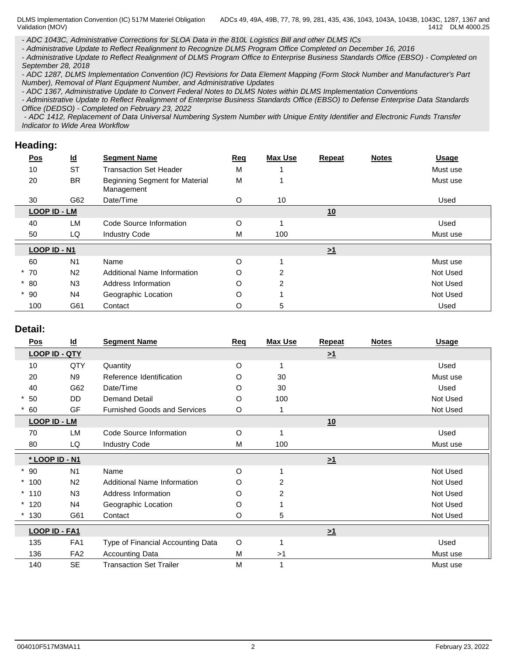*- ADC 1043C, Administrative Corrections for SLOA Data in the 810L Logistics Bill and other DLMS ICs*

*- Administrative Update to Reflect Realignment to Recognize DLMS Program Office Completed on December 16, 2016*

*- Administrative Update to Reflect Realignment of DLMS Program Office to Enterprise Business Standards Office (EBSO) - Completed on September 28, 2018*

*- ADC 1287, DLMS Implementation Convention (IC) Revisions for Data Element Mapping (Form Stock Number and Manufacturer's Part Number), Removal of Plant Equipment Number, and Administrative Updates*

*- ADC 1367, Administrative Update to Convert Federal Notes to DLMS Notes within DLMS Implementation Conventions*

*- Administrative Update to Reflect Realignment of Enterprise Business Standards Office (EBSO) to Defense Enterprise Data Standards Office (DEDSO) - Completed on February 23, 2022*

 *- ADC 1412, Replacement of Data Universal Numbering System Number with Unique Entity Identifier and Electronic Funds Transfer Indicator to Wide Area Workflow*

## **Heading:**

| <b>Pos</b> | $\underline{\mathsf{Id}}$ | <b>Segment Name</b>                          | Req | <b>Max Use</b> | <b>Repeat</b> | <b>Notes</b> | <b>Usage</b> |
|------------|---------------------------|----------------------------------------------|-----|----------------|---------------|--------------|--------------|
| 10         | <b>ST</b>                 | <b>Transaction Set Header</b>                | M   |                |               |              | Must use     |
| 20         | <b>BR</b>                 | Beginning Segment for Material<br>Management | M   |                |               |              | Must use     |
| 30         | G62                       | Date/Time                                    | O   | 10             |               |              | Used         |
|            | LOOP ID - LM              |                                              |     |                | 10            |              |              |
| 40         | LM                        | Code Source Information                      | O   |                |               |              | Used         |
| 50         | LQ                        | <b>Industry Code</b>                         | M   | 100            |               |              | Must use     |
|            | LOOP ID - N1              |                                              |     |                | $\geq 1$      |              |              |
| 60         | N <sub>1</sub>            | Name                                         | O   |                |               |              | Must use     |
| $*70$      | N <sub>2</sub>            | <b>Additional Name Information</b>           | O   | $\overline{2}$ |               |              | Not Used     |
| $*80$      | N3                        | Address Information                          | O   | $\overline{2}$ |               |              | Not Used     |
| $*90$      | N <sub>4</sub>            | Geographic Location                          | O   |                |               |              | Not Used     |
| 100        | G61                       | Contact                                      | O   | 5              |               |              | Used         |

## **Detail:**

| Pos                  | <u>ld</u>       | <b>Segment Name</b>                 | Req      | <b>Max Use</b> | Repeat   | <b>Notes</b> | <b>Usage</b> |
|----------------------|-----------------|-------------------------------------|----------|----------------|----------|--------------|--------------|
| <b>LOOP ID - QTY</b> |                 |                                     |          |                | $\geq 1$ |              |              |
| 10                   | QTY             | Quantity                            | $\circ$  |                |          |              | Used         |
| 20                   | <b>N9</b>       | Reference Identification            | O        | 30             |          |              | Must use     |
| 40                   | G62             | Date/Time                           | O        | 30             |          |              | Used         |
| $*50$                | <b>DD</b>       | <b>Demand Detail</b>                | O        | 100            |          |              | Not Used     |
| 60                   | GF              | <b>Furnished Goods and Services</b> | $\circ$  |                |          |              | Not Used     |
| <b>LOOP ID - LM</b>  |                 |                                     |          |                | 10       |              |              |
| 70                   | <b>LM</b>       | Code Source Information             | $\circ$  | 1              |          |              | Used         |
| 80                   | LQ              | <b>Industry Code</b>                | M        | 100            |          |              | Must use     |
| * LOOP ID - N1       |                 |                                     |          |                | $\geq 1$ |              |              |
| $*90$                | N <sub>1</sub>  | Name                                | $\Omega$ |                |          |              | Not Used     |
| $*100$               | N <sub>2</sub>  | Additional Name Information         | O        | $\overline{2}$ |          |              | Not Used     |
| $*110$               | N <sub>3</sub>  | Address Information                 | O        | 2              |          |              | Not Used     |
| $*120$               | N4              | Geographic Location                 | O        |                |          |              | Not Used     |
| 130                  | G61             | Contact                             | O        | 5              |          |              | Not Used     |
| LOOP ID - FA1        |                 |                                     |          |                | $\geq 1$ |              |              |
| 135                  | FA <sub>1</sub> | Type of Financial Accounting Data   | $\circ$  |                |          |              | Used         |
| 136                  | FA <sub>2</sub> | <b>Accounting Data</b>              | M        | >1             |          |              | Must use     |
| 140                  | <b>SE</b>       | <b>Transaction Set Trailer</b>      | M        |                |          |              | Must use     |
|                      |                 |                                     |          |                |          |              |              |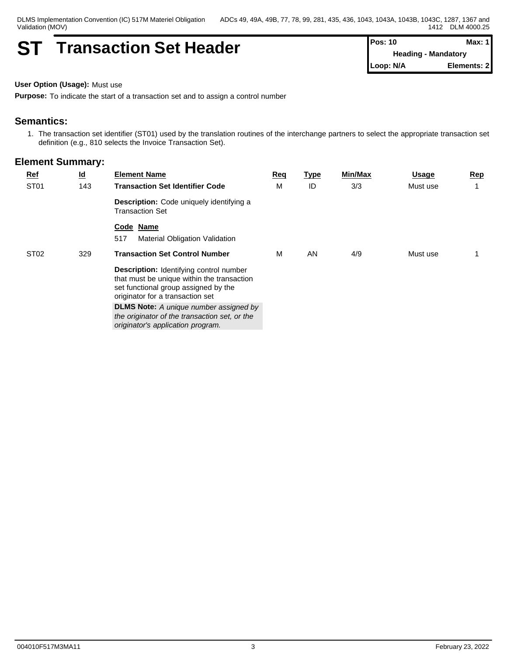DLMS Implementation Convention (IC) 517M Materiel Obligation Validation (MOV)

## **ST Transaction Set Header Pos: 10 Max: 1 Max: 1**

**Heading - Mandatory Loop: N/A Elements: 2**

**User Option (Usage):** Must use

**Purpose:** To indicate the start of a transaction set and to assign a control number

## **Semantics:**

1. The transaction set identifier (ST01) used by the translation routines of the interchange partners to select the appropriate transaction set definition (e.g., 810 selects the Invoice Transaction Set).

| $Ref$<br>ST <sub>01</sub> | <u>ld</u><br>143 | <b>Element Name</b><br><b>Transaction Set Identifier Code</b>                                                                                                            | Req<br>М | <u>Type</u><br>ID | Min/Max<br>3/3 | <u>Usage</u><br>Must use | <u>Rep</u> |
|---------------------------|------------------|--------------------------------------------------------------------------------------------------------------------------------------------------------------------------|----------|-------------------|----------------|--------------------------|------------|
|                           |                  | Description: Code uniquely identifying a<br><b>Transaction Set</b>                                                                                                       |          |                   |                |                          |            |
|                           |                  | Code Name<br>517<br>Material Obligation Validation                                                                                                                       |          |                   |                |                          |            |
| ST <sub>02</sub>          | 329              | <b>Transaction Set Control Number</b>                                                                                                                                    | м        | AN                | 4/9            | Must use                 |            |
|                           |                  | <b>Description:</b> Identifying control number<br>that must be unique within the transaction<br>set functional group assigned by the<br>originator for a transaction set |          |                   |                |                          |            |
|                           |                  | <b>DLMS Note:</b> A unique number assigned by<br>the originator of the transaction set, or the<br>originator's application program.                                      |          |                   |                |                          |            |
|                           |                  |                                                                                                                                                                          |          |                   |                |                          |            |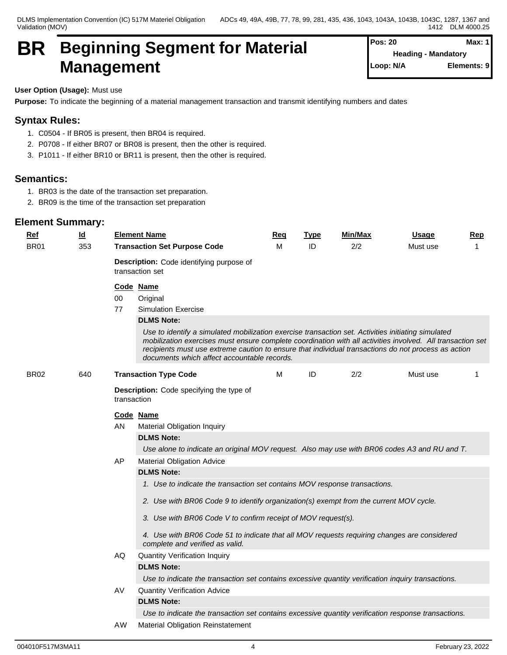DLMS Implementation Convention (IC) 517M Materiel Obligation Validation (MOV)

## **BR Beginning Segment for Material Management**

| Pos: 20   | Max: 11                    |
|-----------|----------------------------|
|           | <b>Heading - Mandatory</b> |
| Loop: N/A | Elements: 9                |

## **User Option (Usage):** Must use

**Purpose:** To indicate the beginning of a material management transaction and transmit identifying numbers and dates

## **Syntax Rules:**

- 1. C0504 If BR05 is present, then BR04 is required.
- 2. P0708 If either BR07 or BR08 is present, then the other is required.
- 3. P1011 If either BR10 or BR11 is present, then the other is required.

## **Semantics:**

- 1. BR03 is the date of the transaction set preparation.
- 2. BR09 is the time of the transaction set preparation

| $Ref$       | $\underline{\mathsf{Id}}$ |             | <b>Element Name</b>                                                                                                                                                                                                                                                                                                                                                    | Req | <b>Type</b> | Min/Max | <u>Usage</u> | Rep |  |  |  |  |
|-------------|---------------------------|-------------|------------------------------------------------------------------------------------------------------------------------------------------------------------------------------------------------------------------------------------------------------------------------------------------------------------------------------------------------------------------------|-----|-------------|---------|--------------|-----|--|--|--|--|
| <b>BR01</b> | 353                       |             | <b>Transaction Set Purpose Code</b>                                                                                                                                                                                                                                                                                                                                    | м   | ID          | 2/2     | Must use     | 1   |  |  |  |  |
|             |                           |             | Description: Code identifying purpose of<br>transaction set                                                                                                                                                                                                                                                                                                            |     |             |         |              |     |  |  |  |  |
|             |                           |             | Code Name                                                                                                                                                                                                                                                                                                                                                              |     |             |         |              |     |  |  |  |  |
|             |                           | 00          | Original                                                                                                                                                                                                                                                                                                                                                               |     |             |         |              |     |  |  |  |  |
|             |                           | 77          | <b>Simulation Exercise</b>                                                                                                                                                                                                                                                                                                                                             |     |             |         |              |     |  |  |  |  |
|             |                           |             | <b>DLMS Note:</b>                                                                                                                                                                                                                                                                                                                                                      |     |             |         |              |     |  |  |  |  |
|             |                           |             | Use to identify a simulated mobilization exercise transaction set. Activities initiating simulated<br>mobilization exercises must ensure complete coordination with all activities involved. All transaction set<br>recipients must use extreme caution to ensure that individual transactions do not process as action<br>documents which affect accountable records. |     |             |         |              |     |  |  |  |  |
| <b>BR02</b> | 640                       |             | <b>Transaction Type Code</b>                                                                                                                                                                                                                                                                                                                                           | м   | ID          | 2/2     | Must use     | 1   |  |  |  |  |
|             |                           | transaction | Description: Code specifying the type of                                                                                                                                                                                                                                                                                                                               |     |             |         |              |     |  |  |  |  |
|             |                           |             | Code Name                                                                                                                                                                                                                                                                                                                                                              |     |             |         |              |     |  |  |  |  |
|             |                           | ΑN          | <b>Material Obligation Inquiry</b>                                                                                                                                                                                                                                                                                                                                     |     |             |         |              |     |  |  |  |  |
|             |                           |             | <b>DLMS Note:</b>                                                                                                                                                                                                                                                                                                                                                      |     |             |         |              |     |  |  |  |  |
|             |                           |             | Use alone to indicate an original MOV request. Also may use with BR06 codes A3 and RU and T.                                                                                                                                                                                                                                                                           |     |             |         |              |     |  |  |  |  |
|             |                           | AP          | <b>Material Obligation Advice</b>                                                                                                                                                                                                                                                                                                                                      |     |             |         |              |     |  |  |  |  |
|             |                           |             | <b>DLMS Note:</b>                                                                                                                                                                                                                                                                                                                                                      |     |             |         |              |     |  |  |  |  |
|             |                           |             | 1. Use to indicate the transaction set contains MOV response transactions.                                                                                                                                                                                                                                                                                             |     |             |         |              |     |  |  |  |  |
|             |                           |             | 2. Use with BR06 Code 9 to identify organization(s) exempt from the current MOV cycle.                                                                                                                                                                                                                                                                                 |     |             |         |              |     |  |  |  |  |
|             |                           |             | 3. Use with BR06 Code V to confirm receipt of MOV request(s).                                                                                                                                                                                                                                                                                                          |     |             |         |              |     |  |  |  |  |
|             |                           |             | 4. Use with BR06 Code 51 to indicate that all MOV requests requiring changes are considered<br>complete and verified as valid.                                                                                                                                                                                                                                         |     |             |         |              |     |  |  |  |  |
|             |                           | AQ.         | <b>Quantity Verification Inquiry</b>                                                                                                                                                                                                                                                                                                                                   |     |             |         |              |     |  |  |  |  |
|             |                           |             | <b>DLMS Note:</b>                                                                                                                                                                                                                                                                                                                                                      |     |             |         |              |     |  |  |  |  |
|             |                           |             | Use to indicate the transaction set contains excessive quantity verification inquiry transactions.                                                                                                                                                                                                                                                                     |     |             |         |              |     |  |  |  |  |
|             |                           | AV          | <b>Quantity Verification Advice</b>                                                                                                                                                                                                                                                                                                                                    |     |             |         |              |     |  |  |  |  |
|             |                           |             | <b>DLMS Note:</b>                                                                                                                                                                                                                                                                                                                                                      |     |             |         |              |     |  |  |  |  |
|             |                           |             | Use to indicate the transaction set contains excessive quantity verification response transactions.                                                                                                                                                                                                                                                                    |     |             |         |              |     |  |  |  |  |
|             |                           | AW          | <b>Material Obligation Reinstatement</b>                                                                                                                                                                                                                                                                                                                               |     |             |         |              |     |  |  |  |  |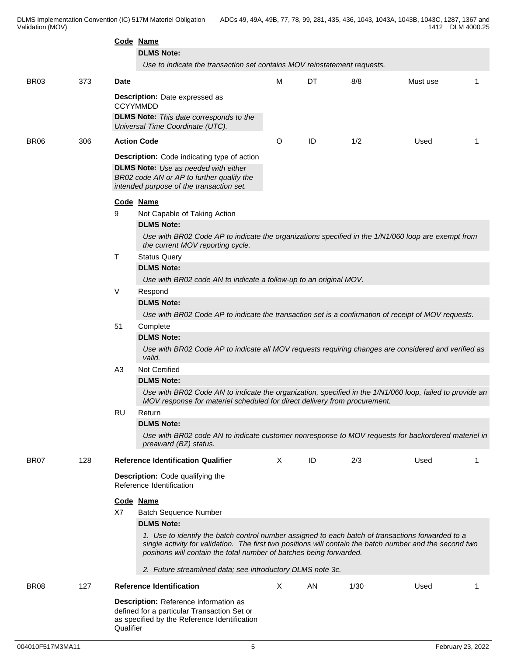|                  |     | Code Name                                                                                          | <b>DLMS Note:</b>                                                                                                                                                                                                                                                                    |         |    |      |          |  |  |  |  |  |  |  |  |
|------------------|-----|----------------------------------------------------------------------------------------------------|--------------------------------------------------------------------------------------------------------------------------------------------------------------------------------------------------------------------------------------------------------------------------------------|---------|----|------|----------|--|--|--|--|--|--|--|--|
|                  |     |                                                                                                    | Use to indicate the transaction set contains MOV reinstatement requests.                                                                                                                                                                                                             |         |    |      |          |  |  |  |  |  |  |  |  |
|                  |     |                                                                                                    |                                                                                                                                                                                                                                                                                      |         |    |      |          |  |  |  |  |  |  |  |  |
| <b>BR03</b>      | 373 | <b>Date</b>                                                                                        |                                                                                                                                                                                                                                                                                      | м       | DT | 8/8  | Must use |  |  |  |  |  |  |  |  |
|                  |     | <b>CCYYMMDD</b>                                                                                    | Description: Date expressed as                                                                                                                                                                                                                                                       |         |    |      |          |  |  |  |  |  |  |  |  |
|                  |     |                                                                                                    | <b>DLMS Note:</b> This date corresponds to the<br>Universal Time Coordinate (UTC).                                                                                                                                                                                                   |         |    |      |          |  |  |  |  |  |  |  |  |
| BR <sub>06</sub> | 306 | <b>Action Code</b>                                                                                 |                                                                                                                                                                                                                                                                                      | $\circ$ | ID | 1/2  | Used     |  |  |  |  |  |  |  |  |
|                  |     |                                                                                                    | Description: Code indicating type of action<br><b>DLMS Note:</b> Use as needed with either<br>BR02 code AN or AP to further qualify the<br>intended purpose of the transaction set.                                                                                                  |         |    |      |          |  |  |  |  |  |  |  |  |
|                  |     | Code Name                                                                                          |                                                                                                                                                                                                                                                                                      |         |    |      |          |  |  |  |  |  |  |  |  |
|                  |     | 9                                                                                                  | Not Capable of Taking Action<br><b>DLMS Note:</b>                                                                                                                                                                                                                                    |         |    |      |          |  |  |  |  |  |  |  |  |
|                  |     | Use with BR02 Code AP to indicate the organizations specified in the 1/N1/060 loop are exempt from |                                                                                                                                                                                                                                                                                      |         |    |      |          |  |  |  |  |  |  |  |  |
|                  |     |                                                                                                    | the current MOV reporting cycle.<br>Τ                                                                                                                                                                                                                                                |         |    |      |          |  |  |  |  |  |  |  |  |
|                  |     | <b>Status Query</b><br><b>DLMS Note:</b>                                                           |                                                                                                                                                                                                                                                                                      |         |    |      |          |  |  |  |  |  |  |  |  |
|                  |     |                                                                                                    | Use with BR02 code AN to indicate a follow-up to an original MOV.                                                                                                                                                                                                                    |         |    |      |          |  |  |  |  |  |  |  |  |
|                  |     | V                                                                                                  | Respond                                                                                                                                                                                                                                                                              |         |    |      |          |  |  |  |  |  |  |  |  |
|                  |     |                                                                                                    | <b>DLMS Note:</b>                                                                                                                                                                                                                                                                    |         |    |      |          |  |  |  |  |  |  |  |  |
|                  |     |                                                                                                    | Use with BR02 Code AP to indicate the transaction set is a confirmation of receipt of MOV requests.                                                                                                                                                                                  |         |    |      |          |  |  |  |  |  |  |  |  |
|                  |     | 51                                                                                                 | Complete<br><b>DLMS Note:</b>                                                                                                                                                                                                                                                        |         |    |      |          |  |  |  |  |  |  |  |  |
|                  |     |                                                                                                    | Use with BR02 Code AP to indicate all MOV requests requiring changes are considered and verified as<br>valid.                                                                                                                                                                        |         |    |      |          |  |  |  |  |  |  |  |  |
|                  |     | A <sub>3</sub>                                                                                     | Not Certified                                                                                                                                                                                                                                                                        |         |    |      |          |  |  |  |  |  |  |  |  |
|                  |     |                                                                                                    | <b>DLMS Note:</b>                                                                                                                                                                                                                                                                    |         |    |      |          |  |  |  |  |  |  |  |  |
|                  |     |                                                                                                    | Use with BR02 Code AN to indicate the organization, specified in the 1/N1/060 loop, failed to provide an<br>MOV response for materiel scheduled for direct delivery from procurement.                                                                                                |         |    |      |          |  |  |  |  |  |  |  |  |
|                  |     | <b>RU</b>                                                                                          | Return                                                                                                                                                                                                                                                                               |         |    |      |          |  |  |  |  |  |  |  |  |
|                  |     |                                                                                                    | <b>DLMS Note:</b>                                                                                                                                                                                                                                                                    |         |    |      |          |  |  |  |  |  |  |  |  |
|                  |     |                                                                                                    | Use with BR02 code AN to indicate customer nonresponse to MOV requests for backordered materiel in<br>preaward (BZ) status.                                                                                                                                                          |         |    |      |          |  |  |  |  |  |  |  |  |
| <b>BR07</b>      | 128 |                                                                                                    | <b>Reference Identification Qualifier</b>                                                                                                                                                                                                                                            | X       | ID | 2/3  | Used     |  |  |  |  |  |  |  |  |
|                  |     |                                                                                                    | Description: Code qualifying the<br>Reference Identification                                                                                                                                                                                                                         |         |    |      |          |  |  |  |  |  |  |  |  |
|                  |     | Code Name                                                                                          |                                                                                                                                                                                                                                                                                      |         |    |      |          |  |  |  |  |  |  |  |  |
|                  |     | X7                                                                                                 | <b>Batch Sequence Number</b>                                                                                                                                                                                                                                                         |         |    |      |          |  |  |  |  |  |  |  |  |
|                  |     |                                                                                                    | <b>DLMS Note:</b>                                                                                                                                                                                                                                                                    |         |    |      |          |  |  |  |  |  |  |  |  |
|                  |     |                                                                                                    | 1. Use to identify the batch control number assigned to each batch of transactions forwarded to a<br>single activity for validation. The first two positions will contain the batch number and the second two<br>positions will contain the total number of batches being forwarded. |         |    |      |          |  |  |  |  |  |  |  |  |
|                  |     |                                                                                                    | 2. Future streamlined data; see introductory DLMS note 3c.                                                                                                                                                                                                                           |         |    |      |          |  |  |  |  |  |  |  |  |
| BR <sub>08</sub> | 127 |                                                                                                    | <b>Reference Identification</b>                                                                                                                                                                                                                                                      | X       | AN | 1/30 | Used     |  |  |  |  |  |  |  |  |
|                  |     | Qualifier                                                                                          | Description: Reference information as<br>defined for a particular Transaction Set or<br>as specified by the Reference Identification                                                                                                                                                 |         |    |      |          |  |  |  |  |  |  |  |  |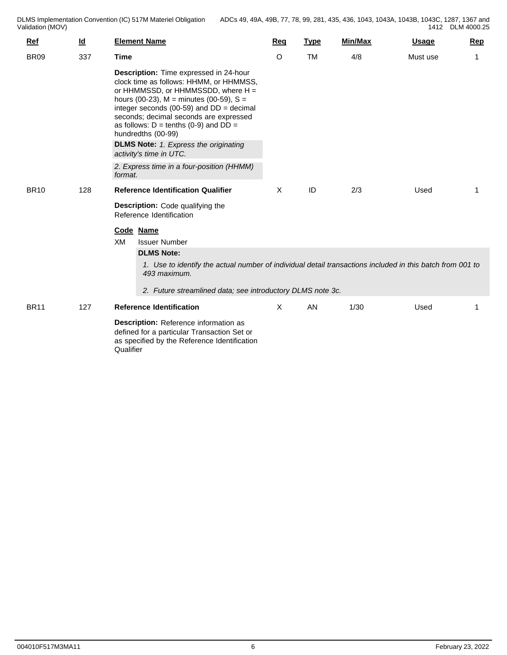| Ref         | $\underline{\mathsf{Id}}$ | <b>Element Name</b>                                                                                                                                                                                                                                                                                                                                                                                                 | Reg | <b>Type</b> | Min/Max | <b>Usage</b> | Rep |
|-------------|---------------------------|---------------------------------------------------------------------------------------------------------------------------------------------------------------------------------------------------------------------------------------------------------------------------------------------------------------------------------------------------------------------------------------------------------------------|-----|-------------|---------|--------------|-----|
| <b>BR09</b> | 337                       | <b>Time</b>                                                                                                                                                                                                                                                                                                                                                                                                         | O   | <b>TM</b>   | 4/8     | Must use     | 1   |
|             |                           | Description: Time expressed in 24-hour<br>clock time as follows: HHMM, or HHMMSS,<br>or HHMMSSD, or HHMMSSDD, where H =<br>hours (00-23), $M =$ minutes (00-59), $S =$<br>integer seconds (00-59) and $DD = decimal$<br>seconds; decimal seconds are expressed<br>as follows: $D = \text{tenths}$ (0-9) and $DD =$<br>hundredths (00-99)<br><b>DLMS Note:</b> 1. Express the originating<br>activity's time in UTC. |     |             |         |              |     |
|             |                           | 2. Express time in a four-position (HHMM)<br>format.                                                                                                                                                                                                                                                                                                                                                                |     |             |         |              |     |
| <b>BR10</b> | 128                       | <b>Reference Identification Qualifier</b>                                                                                                                                                                                                                                                                                                                                                                           | X   | ID          | 2/3     | Used         | 1   |
|             |                           | <b>Description:</b> Code qualifying the<br>Reference Identification                                                                                                                                                                                                                                                                                                                                                 |     |             |         |              |     |
|             |                           | Code Name<br>XM<br><b>Issuer Number</b><br><b>DLMS Note:</b><br>1. Use to identify the actual number of individual detail transactions included in this batch from 001 to<br>493 maximum.<br>2. Future streamlined data; see introductory DLMS note 3c.                                                                                                                                                             |     |             |         |              |     |
| <b>BR11</b> | 127                       | <b>Reference Identification</b>                                                                                                                                                                                                                                                                                                                                                                                     | X   | AN          | 1/30    | Used         |     |
|             |                           | Description: Reference information as<br>defined for a particular Transaction Set or<br>as specified by the Reference Identification<br>Qualifier                                                                                                                                                                                                                                                                   |     |             |         |              |     |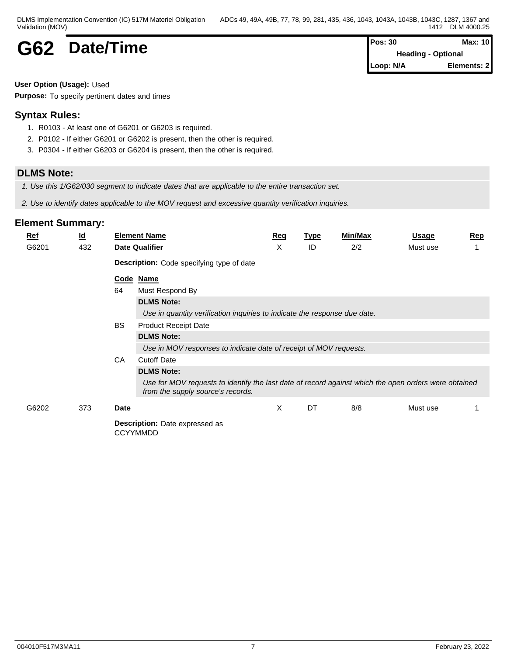| DLMS Implementation Convention (IC) 517M Materiel Obligation | ADCs 49, 49A, 49B, 77, 78, 99, 281, 435, 436, 1043, 1043A, 1043B, 1043C, 1287, 1367 and |
|--------------------------------------------------------------|-----------------------------------------------------------------------------------------|
| Validation (MOV)                                             | DLM 4000.25<br>1412                                                                     |

## **G62** Date/Time

| Pos: 30   | Max: 10                   |  |
|-----------|---------------------------|--|
|           | <b>Heading - Optional</b> |  |
| Loop: N/A | Elements: 2               |  |

#### **User Option (Usage):** Used

**Purpose:** To specify pertinent dates and times

## **Syntax Rules:**

- 1. R0103 At least one of G6201 or G6203 is required.
- 2. P0102 If either G6201 or G6202 is present, then the other is required.
- 3. P0304 If either G6203 or G6204 is present, then the other is required.

## **DLMS Note:**

*1. Use this 1/G62/030 segment to indicate dates that are applicable to the entire transaction set.*

*2. Use to identify dates applicable to the MOV request and excessive quantity verification inquiries.*

| <b>Ref</b> | $\underline{\mathsf{Id}}$ |           | <b>Element Name</b>                                                                                                                       | Req | <b>Type</b> | Min/Max | <b>Usage</b> | <b>Rep</b> |  |  |  |  |
|------------|---------------------------|-----------|-------------------------------------------------------------------------------------------------------------------------------------------|-----|-------------|---------|--------------|------------|--|--|--|--|
| G6201      | 432                       |           | <b>Date Qualifier</b>                                                                                                                     | X   | ID          | 2/2     | Must use     |            |  |  |  |  |
|            |                           |           | Description: Code specifying type of date                                                                                                 |     |             |         |              |            |  |  |  |  |
|            | Code Name                 |           |                                                                                                                                           |     |             |         |              |            |  |  |  |  |
|            |                           | 64        | Must Respond By                                                                                                                           |     |             |         |              |            |  |  |  |  |
|            |                           |           | <b>DLMS Note:</b>                                                                                                                         |     |             |         |              |            |  |  |  |  |
|            |                           |           | Use in quantity verification inquiries to indicate the response due date.                                                                 |     |             |         |              |            |  |  |  |  |
|            |                           | <b>BS</b> | <b>Product Receipt Date</b>                                                                                                               |     |             |         |              |            |  |  |  |  |
|            |                           |           | <b>DLMS Note:</b>                                                                                                                         |     |             |         |              |            |  |  |  |  |
|            |                           |           | Use in MOV responses to indicate date of receipt of MOV requests.                                                                         |     |             |         |              |            |  |  |  |  |
|            |                           | CA        | <b>Cutoff Date</b>                                                                                                                        |     |             |         |              |            |  |  |  |  |
|            |                           |           | <b>DLMS Note:</b>                                                                                                                         |     |             |         |              |            |  |  |  |  |
|            |                           |           | Use for MOV requests to identify the last date of record against which the open orders were obtained<br>from the supply source's records. |     |             |         |              |            |  |  |  |  |
| G6202      | 373                       | Date      |                                                                                                                                           | X   | DT          | 8/8     | Must use     |            |  |  |  |  |
|            |                           |           | <b>Description:</b> Date expressed as<br><b>CCYYMMDD</b>                                                                                  |     |             |         |              |            |  |  |  |  |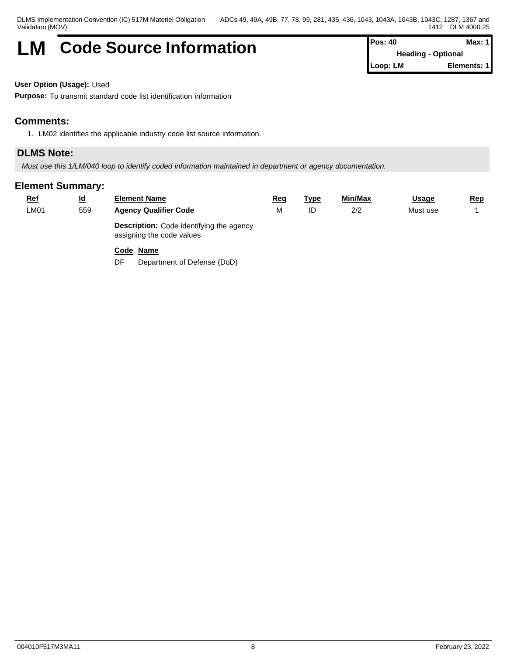## **LM** Code Source Information **Pos: 40 Max: 1 Max: 1**

**Heading - Optional Loop: LM Elements: 1**

**User Option (Usage):** Used

**Purpose:** To transmit standard code list identification information

## **Comments:**

1. LM02 identifies the applicable industry code list source information.

## **DLMS Note:**

*Must use this 1/LM/040 loop to identify coded information maintained in department or agency documentation.*

## **Element Summary:**

| <u>Ref</u> | <u>ld</u> | <b>Element Name</b>                                                          | Req | <u>Type</u> | Min/Max | <u>Usage</u> | <u>Rep</u> |
|------------|-----------|------------------------------------------------------------------------------|-----|-------------|---------|--------------|------------|
| LMO1       | 559       | <b>Agency Qualifier Code</b>                                                 |     | ID          | 2/2     | Must use     |            |
|            |           | <b>Description:</b> Code identifying the agency<br>assigning the code values |     |             |         |              |            |

## **Code Name**

DF Department of Defense (DoD)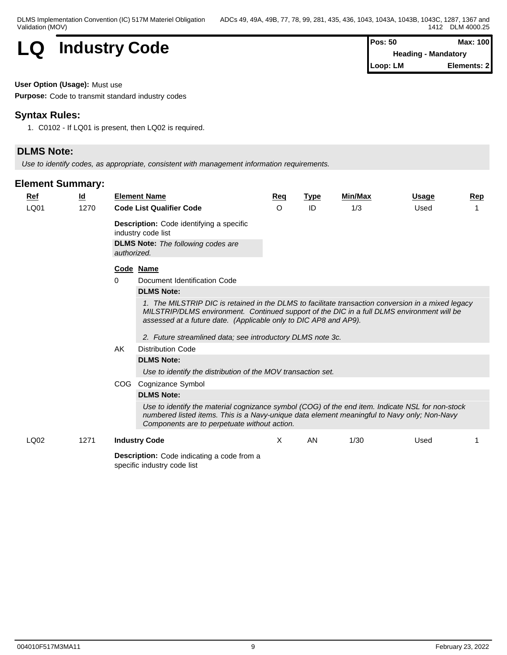

**Heading - Mandatory Loop: LM Elements: 2**

#### **User Option (Usage):** Must use

**Purpose:** Code to transmit standard industry codes

## **Syntax Rules:**

1. C0102 - If LQ01 is present, then LQ02 is required.

## **DLMS Note:**

*Use to identify codes, as appropriate, consistent with management information requirements.*

## **Element Summary:**

| Ref  | $\underline{\mathsf{Id}}$ | <b>Element Name</b>                                                                                                                                                                                                                                                                                                                | Req | <b>Type</b> | Min/Max | <b>Usage</b> | <b>Rep</b> |  |  |  |  |  |
|------|---------------------------|------------------------------------------------------------------------------------------------------------------------------------------------------------------------------------------------------------------------------------------------------------------------------------------------------------------------------------|-----|-------------|---------|--------------|------------|--|--|--|--|--|
| LQ01 | 1270                      | <b>Code List Qualifier Code</b>                                                                                                                                                                                                                                                                                                    | O   | ID          | 1/3     | Used         |            |  |  |  |  |  |
|      |                           | Description: Code identifying a specific<br>industry code list<br><b>DLMS Note:</b> The following codes are<br>authorized.                                                                                                                                                                                                         |     |             |         |              |            |  |  |  |  |  |
|      |                           | Code Name                                                                                                                                                                                                                                                                                                                          |     |             |         |              |            |  |  |  |  |  |
|      |                           | Document Identification Code<br>0                                                                                                                                                                                                                                                                                                  |     |             |         |              |            |  |  |  |  |  |
|      |                           | <b>DLMS Note:</b>                                                                                                                                                                                                                                                                                                                  |     |             |         |              |            |  |  |  |  |  |
|      |                           | 1. The MILSTRIP DIC is retained in the DLMS to facilitate transaction conversion in a mixed legacy<br>MILSTRIP/DLMS environment. Continued support of the DIC in a full DLMS environment will be<br>assessed at a future date. (Applicable only to DIC AP8 and AP9).<br>2. Future streamlined data; see introductory DLMS note 3c. |     |             |         |              |            |  |  |  |  |  |
|      |                           | AK<br><b>Distribution Code</b>                                                                                                                                                                                                                                                                                                     |     |             |         |              |            |  |  |  |  |  |
|      |                           | <b>DLMS Note:</b>                                                                                                                                                                                                                                                                                                                  |     |             |         |              |            |  |  |  |  |  |
|      |                           | Use to identify the distribution of the MOV transaction set.                                                                                                                                                                                                                                                                       |     |             |         |              |            |  |  |  |  |  |
|      |                           | COG<br>Cognizance Symbol                                                                                                                                                                                                                                                                                                           |     |             |         |              |            |  |  |  |  |  |
|      |                           | <b>DLMS Note:</b>                                                                                                                                                                                                                                                                                                                  |     |             |         |              |            |  |  |  |  |  |
|      |                           | Use to identify the material cognizance symbol (COG) of the end item. Indicate NSL for non-stock<br>numbered listed items. This is a Navy-unique data element meaningful to Navy only; Non-Navy<br>Components are to perpetuate without action.                                                                                    |     |             |         |              |            |  |  |  |  |  |
| LQ02 | 1271                      | <b>Industry Code</b>                                                                                                                                                                                                                                                                                                               | X   | AN          | 1/30    | Used         |            |  |  |  |  |  |
|      |                           | <b>Description:</b> Code indicating a sode from a                                                                                                                                                                                                                                                                                  |     |             |         |              |            |  |  |  |  |  |

**Description:** Code indicating a code from a specific industry code list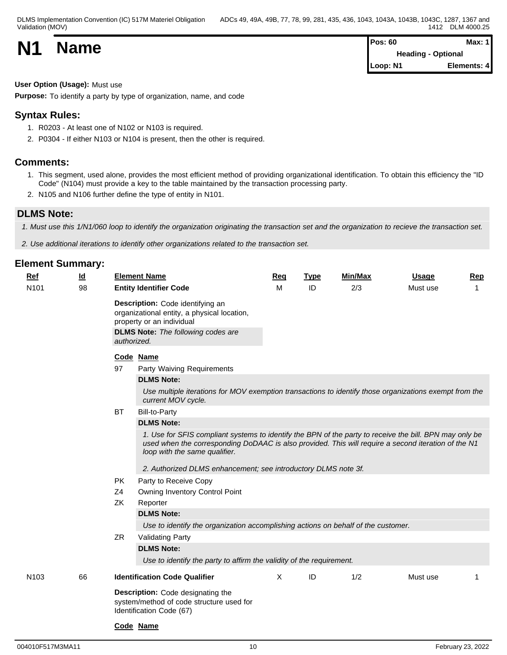|           |             | Pos: 60                   |             |  |  |
|-----------|-------------|---------------------------|-------------|--|--|
| <b>N1</b> | <b>Name</b> | <b>Heading - Optional</b> |             |  |  |
|           |             | Loop: N1                  | Elements: 4 |  |  |

**User Option (Usage):** Must use

**Purpose:** To identify a party by type of organization, name, and code

## **Syntax Rules:**

- 1. R0203 At least one of N102 or N103 is required.
- 2. P0304 If either N103 or N104 is present, then the other is required.

## **Comments:**

- 1. This segment, used alone, provides the most efficient method of providing organizational identification. To obtain this efficiency the "ID Code" (N104) must provide a key to the table maintained by the transaction processing party.
- 2. N105 and N106 further define the type of entity in N101.

## **DLMS Note:**

*1. Must use this 1/N1/060 loop to identify the organization originating the transaction set and the organization to recieve the transaction set.*

*2. Use additional iterations to identify other organizations related to the transaction set.*

| Ref              | $\underline{\mathsf{Id}}$ | <b>Element Name</b>                                                                                                                                                                                                                             | <b>Req</b> | <b>Type</b> | <b>Min/Max</b> | <b>Usage</b> | <b>Rep</b> |
|------------------|---------------------------|-------------------------------------------------------------------------------------------------------------------------------------------------------------------------------------------------------------------------------------------------|------------|-------------|----------------|--------------|------------|
| N <sub>101</sub> | 98                        | <b>Entity Identifier Code</b>                                                                                                                                                                                                                   | M          | ID          | 2/3            | Must use     | 1          |
|                  |                           | Description: Code identifying an<br>organizational entity, a physical location,<br>property or an individual<br><b>DLMS Note:</b> The following codes are                                                                                       |            |             |                |              |            |
|                  |                           | authorized.                                                                                                                                                                                                                                     |            |             |                |              |            |
|                  |                           | Code Name<br>97<br>Party Waiving Requirements<br><b>DLMS Note:</b>                                                                                                                                                                              |            |             |                |              |            |
|                  |                           | Use multiple iterations for MOV exemption transactions to identify those organizations exempt from the<br>current MOV cycle.                                                                                                                    |            |             |                |              |            |
|                  |                           | <b>Bill-to-Party</b><br>ВT                                                                                                                                                                                                                      |            |             |                |              |            |
|                  |                           | <b>DLMS Note:</b>                                                                                                                                                                                                                               |            |             |                |              |            |
|                  |                           | 1. Use for SFIS compliant systems to identify the BPN of the party to receive the bill. BPN may only be<br>used when the corresponding DoDAAC is also provided. This will require a second iteration of the N1<br>loop with the same qualifier. |            |             |                |              |            |
|                  |                           | 2. Authorized DLMS enhancement; see introductory DLMS note 3f.                                                                                                                                                                                  |            |             |                |              |            |
|                  |                           | PK<br>Party to Receive Copy<br>Z4<br>Owning Inventory Control Point                                                                                                                                                                             |            |             |                |              |            |
|                  |                           | ZK<br>Reporter                                                                                                                                                                                                                                  |            |             |                |              |            |
|                  |                           | <b>DLMS Note:</b><br>Use to identify the organization accomplishing actions on behalf of the customer.                                                                                                                                          |            |             |                |              |            |
|                  |                           | ZR<br><b>Validating Party</b>                                                                                                                                                                                                                   |            |             |                |              |            |
|                  |                           | <b>DLMS Note:</b><br>Use to identify the party to affirm the validity of the requirement.                                                                                                                                                       |            |             |                |              |            |
| N <sub>103</sub> | 66                        | <b>Identification Code Qualifier</b>                                                                                                                                                                                                            | X          | ID          | 1/2            | Must use     |            |
|                  |                           | Description: Code designating the<br>system/method of code structure used for<br>Identification Code (67)                                                                                                                                       |            |             |                |              |            |
|                  |                           | Code Name                                                                                                                                                                                                                                       |            |             |                |              |            |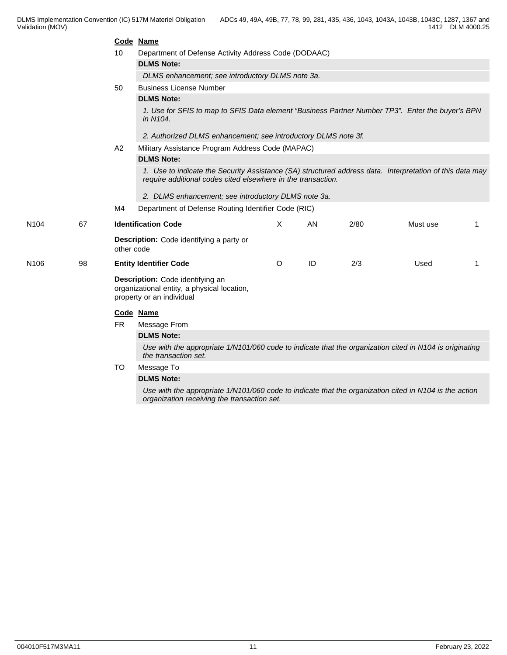|                  |    |            | Code Name                                                                                                                                                                |          |    |      |          |    |
|------------------|----|------------|--------------------------------------------------------------------------------------------------------------------------------------------------------------------------|----------|----|------|----------|----|
|                  |    | 10         | Department of Defense Activity Address Code (DODAAC)                                                                                                                     |          |    |      |          |    |
|                  |    |            | <b>DLMS Note:</b>                                                                                                                                                        |          |    |      |          |    |
|                  |    |            | DLMS enhancement; see introductory DLMS note 3a.                                                                                                                         |          |    |      |          |    |
|                  |    | 50         | <b>Business License Number</b>                                                                                                                                           |          |    |      |          |    |
|                  |    |            | <b>DLMS Note:</b>                                                                                                                                                        |          |    |      |          |    |
|                  |    |            | 1. Use for SFIS to map to SFIS Data element "Business Partner Number TP3". Enter the buyer's BPN<br>in N104.                                                             |          |    |      |          |    |
|                  |    |            | 2. Authorized DLMS enhancement; see introductory DLMS note 3f.                                                                                                           |          |    |      |          |    |
|                  |    | A2         | Military Assistance Program Address Code (MAPAC)                                                                                                                         |          |    |      |          |    |
|                  |    |            | <b>DLMS Note:</b>                                                                                                                                                        |          |    |      |          |    |
|                  |    |            | 1. Use to indicate the Security Assistance (SA) structured address data. Interpretation of this data may<br>require additional codes cited elsewhere in the transaction. |          |    |      |          |    |
|                  |    |            | 2. DLMS enhancement; see introductory DLMS note 3a.                                                                                                                      |          |    |      |          |    |
|                  |    | M4         | Department of Defense Routing Identifier Code (RIC)                                                                                                                      |          |    |      |          |    |
| N <sub>104</sub> | 67 |            | <b>Identification Code</b>                                                                                                                                               | $\times$ | AN | 2/80 | Must use | 1  |
|                  |    | other code | Description: Code identifying a party or                                                                                                                                 |          |    |      |          |    |
| N <sub>106</sub> | 98 |            | <b>Entity Identifier Code</b>                                                                                                                                            | $\circ$  | ID | 2/3  | Used     | -1 |
|                  |    |            | Description: Code identifying an<br>organizational entity, a physical location,<br>property or an individual                                                             |          |    |      |          |    |
|                  |    |            | Code Name                                                                                                                                                                |          |    |      |          |    |
|                  |    | <b>FR</b>  | Message From                                                                                                                                                             |          |    |      |          |    |
|                  |    |            | <b>DLMS Note:</b>                                                                                                                                                        |          |    |      |          |    |
|                  |    |            | Use with the appropriate 1/N101/060 code to indicate that the organization cited in N104 is originating<br>the transaction set.                                          |          |    |      |          |    |
|                  |    | <b>TO</b>  | Message To                                                                                                                                                               |          |    |      |          |    |
|                  |    |            | <b>DLMS Note:</b>                                                                                                                                                        |          |    |      |          |    |
|                  |    |            | Use with the appropriate 1/N101/060 code to indicate that the organization cited in N104 is the action<br>organization receiving the transaction set.                    |          |    |      |          |    |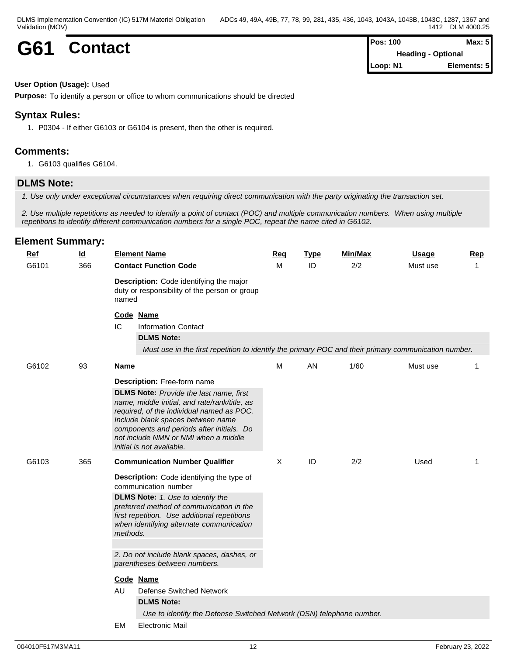| G61 | <b>Contact</b> | <b>Pos: 100</b>                     | Max: 5 |  |
|-----|----------------|-------------------------------------|--------|--|
|     |                | <b>Heading</b> -<br><b>Optional</b> |        |  |

**Heading - Optional Loop: N1 Elements: 5**

#### **User Option (Usage):** Used

**Purpose:** To identify a person or office to whom communications should be directed

## **Syntax Rules:**

1. P0304 - If either G6103 or G6104 is present, then the other is required.

## **Comments:**

1. G6103 qualifies G6104.

## **DLMS Note:**

*1. Use only under exceptional circumstances when requiring direct communication with the party originating the transaction set.*

*2. Use multiple repetitions as needed to identify a point of contact (POC) and multiple communication numbers. When using multiple repetitions to identify different communication numbers for a single POC, repeat the name cited in G6102.*

| <b>Ref</b><br>G6101 | $\underline{\mathsf{Id}}$<br>366 |             | <b>Element Name</b><br><b>Contact Function Code</b>                                                                                                                                                                                                                                                                                | Req<br>M | <b>Type</b><br>ID | <b>Min/Max</b><br>2/2 | <b>Usage</b><br>Must use | Rep<br>1 |
|---------------------|----------------------------------|-------------|------------------------------------------------------------------------------------------------------------------------------------------------------------------------------------------------------------------------------------------------------------------------------------------------------------------------------------|----------|-------------------|-----------------------|--------------------------|----------|
|                     |                                  | named<br>IC | Description: Code identifying the major<br>duty or responsibility of the person or group                                                                                                                                                                                                                                           |          |                   |                       |                          |          |
|                     |                                  |             | Code Name<br><b>Information Contact</b><br><b>DLMS Note:</b><br>Must use in the first repetition to identify the primary POC and their primary communication number.                                                                                                                                                               |          |                   |                       |                          |          |
| G6102               | 93                               | <b>Name</b> |                                                                                                                                                                                                                                                                                                                                    | M        | AN                | 1/60                  | Must use                 | 1        |
|                     |                                  |             | Description: Free-form name<br><b>DLMS Note:</b> Provide the last name, first<br>name, middle initial, and rate/rank/title, as<br>required, of the individual named as POC.<br>Include blank spaces between name<br>components and periods after initials. Do<br>not include NMN or NMI when a middle<br>initial is not available. |          |                   |                       |                          |          |
| G6103               | 365                              |             | <b>Communication Number Qualifier</b><br>Description: Code identifying the type of<br>communication number                                                                                                                                                                                                                         |          | ID                | 2/2                   | Used                     | 1        |
|                     |                                  |             |                                                                                                                                                                                                                                                                                                                                    |          |                   |                       |                          |          |
|                     |                                  | methods.    | <b>DLMS Note:</b> 1. Use to identify the<br>preferred method of communication in the<br>first repetition. Use additional repetitions<br>when identifying alternate communication                                                                                                                                                   |          |                   |                       |                          |          |
|                     |                                  |             | 2. Do not include blank spaces, dashes, or<br>parentheses between numbers.                                                                                                                                                                                                                                                         |          |                   |                       |                          |          |
|                     |                                  | AU          | Code Name<br>Defense Switched Network<br><b>DLMS Note:</b>                                                                                                                                                                                                                                                                         |          |                   |                       |                          |          |
|                     |                                  |             | Use to identify the Defense Switched Network (DSN) telephone number.                                                                                                                                                                                                                                                               |          |                   |                       |                          |          |
|                     |                                  | <b>EM</b>   | <b>Electronic Mail</b>                                                                                                                                                                                                                                                                                                             |          |                   |                       |                          |          |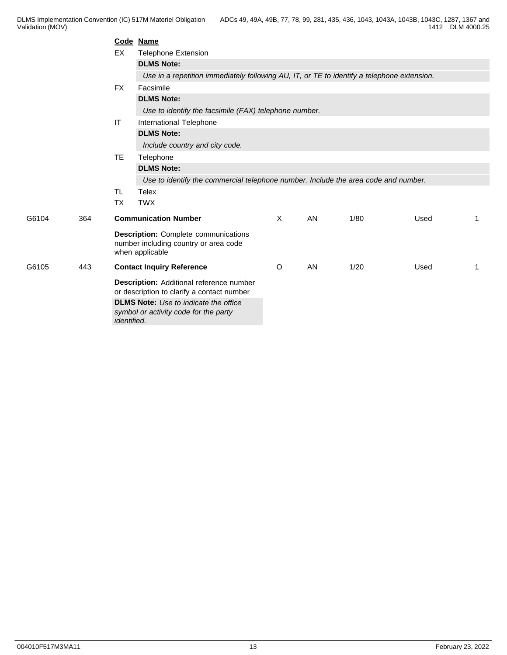|       |     |             | Code Name                                                                                               |          |    |      |      |    |
|-------|-----|-------------|---------------------------------------------------------------------------------------------------------|----------|----|------|------|----|
|       |     | EX          | <b>Telephone Extension</b>                                                                              |          |    |      |      |    |
|       |     |             | <b>DLMS Note:</b>                                                                                       |          |    |      |      |    |
|       |     |             | Use in a repetition immediately following AU, IT, or TE to identify a telephone extension.              |          |    |      |      |    |
|       |     | <b>FX</b>   | Facsimile                                                                                               |          |    |      |      |    |
|       |     |             | <b>DLMS Note:</b>                                                                                       |          |    |      |      |    |
|       |     |             | Use to identify the facsimile (FAX) telephone number.                                                   |          |    |      |      |    |
|       |     | IT          | International Telephone                                                                                 |          |    |      |      |    |
|       |     |             | <b>DLMS Note:</b>                                                                                       |          |    |      |      |    |
|       |     |             | Include country and city code.                                                                          |          |    |      |      |    |
|       |     | TE          | Telephone                                                                                               |          |    |      |      |    |
|       |     |             | <b>DLMS Note:</b>                                                                                       |          |    |      |      |    |
|       |     |             | Use to identify the commercial telephone number. Include the area code and number.                      |          |    |      |      |    |
|       |     | TL.         | <b>Telex</b>                                                                                            |          |    |      |      |    |
|       |     | <b>TX</b>   | <b>TWX</b>                                                                                              |          |    |      |      |    |
| G6104 | 364 |             | <b>Communication Number</b>                                                                             | $\times$ | AN | 1/80 | Used | -1 |
|       |     |             | <b>Description:</b> Complete communications<br>number including country or area code<br>when applicable |          |    |      |      |    |
| G6105 | 443 |             | <b>Contact Inquiry Reference</b>                                                                        | O        | AN | 1/20 | Used | -1 |
|       |     |             | Description: Additional reference number<br>or description to clarify a contact number                  |          |    |      |      |    |
|       |     | identified. | <b>DLMS Note:</b> Use to indicate the office<br>symbol or activity code for the party                   |          |    |      |      |    |
|       |     |             |                                                                                                         |          |    |      |      |    |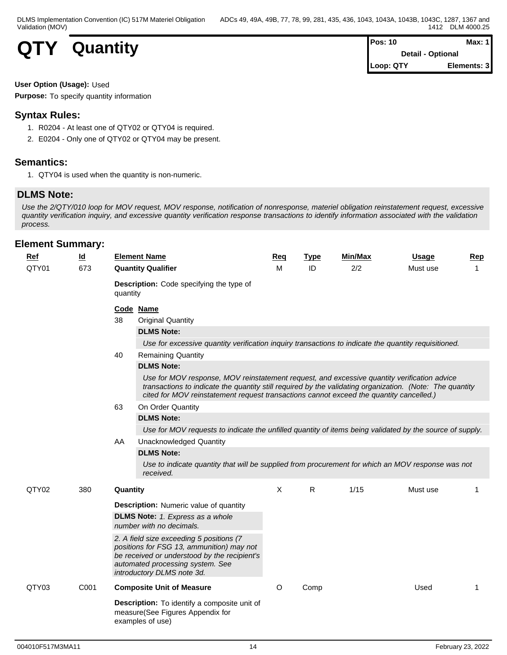| <b>QTY</b> | Quantity |
|------------|----------|
|------------|----------|

| <b>QTY</b><br>a ka<br>$\overline{\phantom{a}}$ | <b>Quantity</b> | <b>Pos: 10</b>           |             |  |  |
|------------------------------------------------|-----------------|--------------------------|-------------|--|--|
|                                                |                 | <b>Detail - Optional</b> |             |  |  |
|                                                |                 | Loop: QTY                | Elements: 3 |  |  |

### **User Option (Usage):** Used

**Purpose:** To specify quantity information

## **Syntax Rules:**

- 1. R0204 At least one of QTY02 or QTY04 is required.
- 2. E0204 Only one of QTY02 or QTY04 may be present.

## **Semantics:**

1. QTY04 is used when the quantity is non-numeric.

## **DLMS Note:**

*Use the 2/QTY/010 loop for MOV request, MOV response, notification of nonresponse, materiel obligation reinstatement request, excessive quantity verification inquiry, and excessive quantity verification response transactions to identify information associated with the validation process.*

| Ref   | $\underline{\mathsf{Id}}$ |          | <b>Element Name</b>                                                                                                                                                                                                                                                                                | <b>Reg</b>   | <b>Type</b> | Min/Max | Usage    | <b>Rep</b>   |
|-------|---------------------------|----------|----------------------------------------------------------------------------------------------------------------------------------------------------------------------------------------------------------------------------------------------------------------------------------------------------|--------------|-------------|---------|----------|--------------|
| QTY01 | 673                       |          | <b>Quantity Qualifier</b>                                                                                                                                                                                                                                                                          | M            | ID          | 2/2     | Must use | $\mathbf{1}$ |
|       |                           | quantity | <b>Description:</b> Code specifying the type of                                                                                                                                                                                                                                                    |              |             |         |          |              |
|       |                           |          | Code Name                                                                                                                                                                                                                                                                                          |              |             |         |          |              |
|       |                           | 38       | <b>Original Quantity</b>                                                                                                                                                                                                                                                                           |              |             |         |          |              |
|       |                           |          | <b>DLMS Note:</b>                                                                                                                                                                                                                                                                                  |              |             |         |          |              |
|       |                           |          | Use for excessive quantity verification inquiry transactions to indicate the quantity requisitioned.                                                                                                                                                                                               |              |             |         |          |              |
|       |                           | 40       | <b>Remaining Quantity</b>                                                                                                                                                                                                                                                                          |              |             |         |          |              |
|       |                           |          | <b>DLMS Note:</b>                                                                                                                                                                                                                                                                                  |              |             |         |          |              |
|       |                           |          | Use for MOV response, MOV reinstatement request, and excessive quantity verification advice<br>transactions to indicate the quantity still required by the validating organization. (Note: The quantity<br>cited for MOV reinstatement request transactions cannot exceed the quantity cancelled.) |              |             |         |          |              |
|       |                           | 63       | On Order Quantity                                                                                                                                                                                                                                                                                  |              |             |         |          |              |
|       |                           |          | <b>DLMS Note:</b>                                                                                                                                                                                                                                                                                  |              |             |         |          |              |
|       |                           |          | Use for MOV requests to indicate the unfilled quantity of items being validated by the source of supply.                                                                                                                                                                                           |              |             |         |          |              |
|       |                           | AA       | <b>Unacknowledged Quantity</b>                                                                                                                                                                                                                                                                     |              |             |         |          |              |
|       |                           |          | <b>DLMS Note:</b>                                                                                                                                                                                                                                                                                  |              |             |         |          |              |
|       |                           |          | Use to indicate quantity that will be supplied from procurement for which an MOV response was not<br>received.                                                                                                                                                                                     |              |             |         |          |              |
| QTY02 | 380                       | Quantity |                                                                                                                                                                                                                                                                                                    | $\mathsf{X}$ | R           | 1/15    | Must use | 1            |
|       |                           |          | <b>Description:</b> Numeric value of quantity                                                                                                                                                                                                                                                      |              |             |         |          |              |
|       |                           |          | <b>DLMS Note:</b> 1. Express as a whole                                                                                                                                                                                                                                                            |              |             |         |          |              |
|       |                           |          | number with no decimals.                                                                                                                                                                                                                                                                           |              |             |         |          |              |
|       |                           |          | 2. A field size exceeding 5 positions (7<br>positions for FSG 13, ammunition) may not<br>be received or understood by the recipient's<br>automated processing system. See<br>introductory DLMS note 3d.                                                                                            |              |             |         |          |              |
| QTY03 | C001                      |          | <b>Composite Unit of Measure</b>                                                                                                                                                                                                                                                                   | $\circ$      | Comp        |         | Used     | 1            |
|       |                           |          | <b>Description:</b> To identify a composite unit of<br>measure(See Figures Appendix for<br>examples of use)                                                                                                                                                                                        |              |             |         |          |              |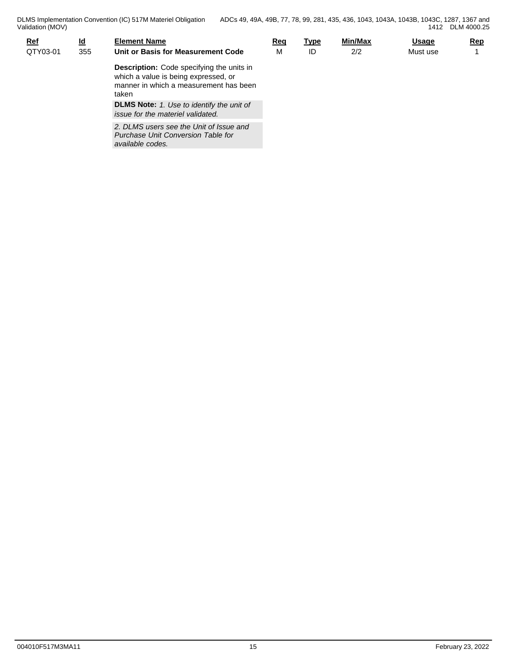| $Ref$    | <u>ld</u> | <b>Element Name</b>                                                                                                                         | <u>Req</u> | <u>Type</u> | <b>Min/Max</b> | <b>Usage</b> | <b>Rep</b> |
|----------|-----------|---------------------------------------------------------------------------------------------------------------------------------------------|------------|-------------|----------------|--------------|------------|
| QTY03-01 | 355       | Unit or Basis for Measurement Code                                                                                                          | M          | ID          | 2/2            | Must use     |            |
|          |           | <b>Description:</b> Code specifying the units in<br>which a value is being expressed, or<br>manner in which a measurement has been<br>taken |            |             |                |              |            |
|          |           | <b>DLMS Note:</b> 1. Use to identify the unit of<br>issue for the materiel validated.                                                       |            |             |                |              |            |
|          |           | 2. DLMS users see the Unit of Issue and                                                                                                     |            |             |                |              |            |

*available codes.* 

*Purchase Unit Conversion Table for*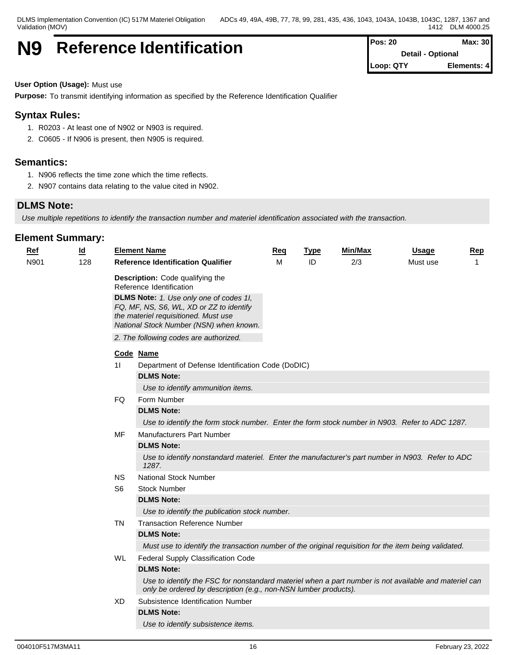DLMS Implementation Convention (IC) 517M Materiel Obligation Validation (MOV)

## **N9** Reference Identification **Pos: 20 Pos: 20 Max: 30**

**Detail - Optional Loop: QTY Elements: 4**

#### **User Option (Usage):** Must use

**Purpose:** To transmit identifying information as specified by the Reference Identification Qualifier

## **Syntax Rules:**

- 1. R0203 At least one of N902 or N903 is required.
- 2. C0605 If N906 is present, then N905 is required.

### **Semantics:**

- 1. N906 reflects the time zone which the time reflects.
- 2. N907 contains data relating to the value cited in N902.

### **DLMS Note:**

*Use multiple repetitions to identify the transaction number and materiel identification associated with the transaction.*

| <b>Ref</b> | $\underline{\mathsf{Id}}$ |           | <b>Element Name</b>                                                                                                                                                      | Req | <b>Type</b> | Min/Max | <b>Usage</b> | Rep |
|------------|---------------------------|-----------|--------------------------------------------------------------------------------------------------------------------------------------------------------------------------|-----|-------------|---------|--------------|-----|
| N901       | 128                       |           | <b>Reference Identification Qualifier</b>                                                                                                                                | M   | ID          | 2/3     | Must use     | -1  |
|            |                           |           | Description: Code qualifying the<br>Reference Identification                                                                                                             |     |             |         |              |     |
|            |                           |           | DLMS Note: 1. Use only one of codes 1I,<br>FQ, MF, NS, S6, WL, XD or ZZ to identify<br>the materiel requisitioned. Must use<br>National Stock Number (NSN) when known.   |     |             |         |              |     |
|            |                           |           | 2. The following codes are authorized.                                                                                                                                   |     |             |         |              |     |
|            |                           |           | Code Name                                                                                                                                                                |     |             |         |              |     |
|            |                           | 11        | Department of Defense Identification Code (DoDIC)                                                                                                                        |     |             |         |              |     |
|            |                           |           | <b>DLMS Note:</b>                                                                                                                                                        |     |             |         |              |     |
|            |                           |           | Use to identify ammunition items.                                                                                                                                        |     |             |         |              |     |
|            |                           | FQ.       | Form Number                                                                                                                                                              |     |             |         |              |     |
|            |                           |           | <b>DLMS Note:</b>                                                                                                                                                        |     |             |         |              |     |
|            |                           |           | Use to identify the form stock number. Enter the form stock number in N903. Refer to ADC 1287.                                                                           |     |             |         |              |     |
|            |                           | MF        | Manufacturers Part Number                                                                                                                                                |     |             |         |              |     |
|            |                           |           | <b>DLMS Note:</b>                                                                                                                                                        |     |             |         |              |     |
|            |                           |           | Use to identify nonstandard materiel. Enter the manufacturer's part number in N903. Refer to ADC<br>1287.                                                                |     |             |         |              |     |
|            |                           | <b>NS</b> | <b>National Stock Number</b>                                                                                                                                             |     |             |         |              |     |
|            |                           | S6        | <b>Stock Number</b>                                                                                                                                                      |     |             |         |              |     |
|            |                           |           | <b>DLMS Note:</b>                                                                                                                                                        |     |             |         |              |     |
|            |                           |           | Use to identify the publication stock number.                                                                                                                            |     |             |         |              |     |
|            |                           | TN        | <b>Transaction Reference Number</b>                                                                                                                                      |     |             |         |              |     |
|            |                           |           | <b>DLMS Note:</b>                                                                                                                                                        |     |             |         |              |     |
|            |                           |           | Must use to identify the transaction number of the original requisition for the item being validated.                                                                    |     |             |         |              |     |
|            |                           | WL.       | Federal Supply Classification Code                                                                                                                                       |     |             |         |              |     |
|            |                           |           | <b>DLMS Note:</b>                                                                                                                                                        |     |             |         |              |     |
|            |                           |           | Use to identify the FSC for nonstandard materiel when a part number is not available and materiel can<br>only be ordered by description (e.g., non-NSN lumber products). |     |             |         |              |     |
|            |                           | XD.       | Subsistence Identification Number                                                                                                                                        |     |             |         |              |     |
|            |                           |           | <b>DLMS Note:</b>                                                                                                                                                        |     |             |         |              |     |
|            |                           |           | Use to identify subsistence items.                                                                                                                                       |     |             |         |              |     |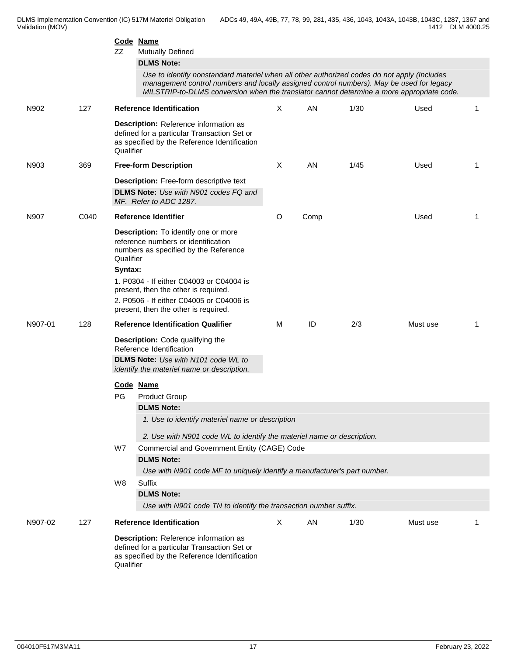|         |      | ZZ                   | Code Name<br><b>Mutually Defined</b><br><b>DLMS Note:</b><br>Use to identify nonstandard materiel when all other authorized codes do not apply (Includes<br>management control numbers and locally assigned control numbers). May be used for legacy<br>MILSTRIP-to-DLMS conversion when the translator cannot determine a more appropriate code. |              |      |      |          |             |
|---------|------|----------------------|---------------------------------------------------------------------------------------------------------------------------------------------------------------------------------------------------------------------------------------------------------------------------------------------------------------------------------------------------|--------------|------|------|----------|-------------|
| N902    | 127  |                      | <b>Reference Identification</b>                                                                                                                                                                                                                                                                                                                   | $\times$     | AN   | 1/30 | Used     | 1           |
|         |      | Qualifier            | Description: Reference information as<br>defined for a particular Transaction Set or<br>as specified by the Reference Identification                                                                                                                                                                                                              |              |      |      |          |             |
| N903    | 369  |                      | <b>Free-form Description</b>                                                                                                                                                                                                                                                                                                                      | Χ            | AN   | 1/45 | Used     | 1           |
|         |      |                      | <b>Description:</b> Free-form descriptive text<br><b>DLMS Note:</b> Use with N901 codes FQ and<br>MF. Refer to ADC 1287.                                                                                                                                                                                                                          |              |      |      |          |             |
| N907    | C040 |                      | <b>Reference Identifier</b>                                                                                                                                                                                                                                                                                                                       | O            | Comp |      | Used     | $\mathbf 1$ |
|         |      | Qualifier<br>Syntax: | <b>Description:</b> To identify one or more<br>reference numbers or identification<br>numbers as specified by the Reference<br>1. P0304 - If either C04003 or C04004 is<br>present, then the other is required.<br>2. P0506 - If either C04005 or C04006 is<br>present, then the other is required.                                               |              |      |      |          |             |
| N907-01 | 128  |                      | <b>Reference Identification Qualifier</b>                                                                                                                                                                                                                                                                                                         | м            | ID   | 2/3  | Must use | 1           |
|         |      |                      | <b>Description:</b> Code qualifying the<br>Reference Identification<br>DLMS Note: Use with N101 code WL to<br>identify the materiel name or description.<br>Code Name                                                                                                                                                                             |              |      |      |          |             |
|         |      | PG                   | <b>Product Group</b>                                                                                                                                                                                                                                                                                                                              |              |      |      |          |             |
|         |      |                      | <b>DLMS Note:</b><br>1. Use to identify materiel name or description<br>2. Use with N901 code WL to identify the materiel name or description.                                                                                                                                                                                                    |              |      |      |          |             |
|         |      | W7                   | Commercial and Government Entity (CAGE) Code<br><b>DLMS Note:</b><br>Use with N901 code MF to uniquely identify a manufacturer's part number.                                                                                                                                                                                                     |              |      |      |          |             |
|         |      | W8                   | Suffix<br><b>DLMS Note:</b><br>Use with N901 code TN to identify the transaction number suffix.                                                                                                                                                                                                                                                   |              |      |      |          |             |
| N907-02 | 127  |                      | <b>Reference Identification</b>                                                                                                                                                                                                                                                                                                                   | $\mathsf{X}$ | AN   | 1/30 | Must use |             |
|         |      | Qualifier            | Description: Reference information as<br>defined for a particular Transaction Set or<br>as specified by the Reference Identification                                                                                                                                                                                                              |              |      |      |          |             |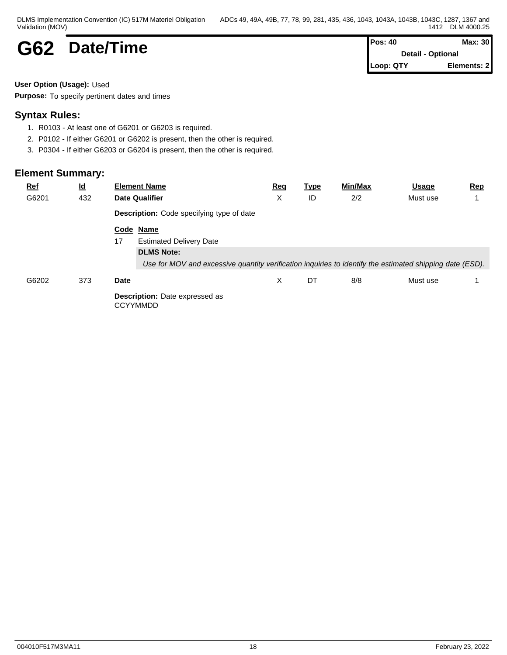| DLMS Implementation Convention (IC) 517M Materiel Obligation | ADCs 49, 49A, 49B, 77, 78, 99, 281, 435, 436, 1043, 1043A, 1043B, 1043C, 1287, 1<br>$1367$ and |
|--------------------------------------------------------------|------------------------------------------------------------------------------------------------|
| Validation (MOV)                                             | DLM 4000.25<br>1412                                                                            |

| G62 | Date/Time |
|-----|-----------|
|-----|-----------|

**G62 Date/Time Pos: 40 Date/Time Pos: 40 Detail - Optional Detail - Optional Loop: QTY Elements: 2**

## **User Option (Usage):** Used

**Purpose:** To specify pertinent dates and times

## **Syntax Rules:**

- 1. R0103 At least one of G6201 or G6203 is required.
- 2. P0102 If either G6201 or G6202 is present, then the other is required.
- 3. P0304 If either G6203 or G6204 is present, then the other is required.

| <b>Ref</b> | $\overline{\mathsf{q}}$ | <b>Element Name</b>                                                                                      | <u>Req</u> | <u>Type</u> | Min/Max | Usage    | Rep |  |  |
|------------|-------------------------|----------------------------------------------------------------------------------------------------------|------------|-------------|---------|----------|-----|--|--|
| G6201      | 432                     | <b>Date Qualifier</b>                                                                                    | Х          | ID          | 2/2     | Must use |     |  |  |
|            |                         | Description: Code specifying type of date                                                                |            |             |         |          |     |  |  |
|            |                         | Code Name                                                                                                |            |             |         |          |     |  |  |
|            |                         | <b>Estimated Delivery Date</b><br>17                                                                     |            |             |         |          |     |  |  |
|            |                         | <b>DLMS Note:</b>                                                                                        |            |             |         |          |     |  |  |
|            |                         | Use for MOV and excessive quantity verification inquiries to identify the estimated shipping date (ESD). |            |             |         |          |     |  |  |
| G6202      | 373                     | <b>Date</b>                                                                                              | X          | DT          | 8/8     | Must use |     |  |  |
|            |                         | <b>Description:</b> Date expressed as<br><b>CCYYMMDD</b>                                                 |            |             |         |          |     |  |  |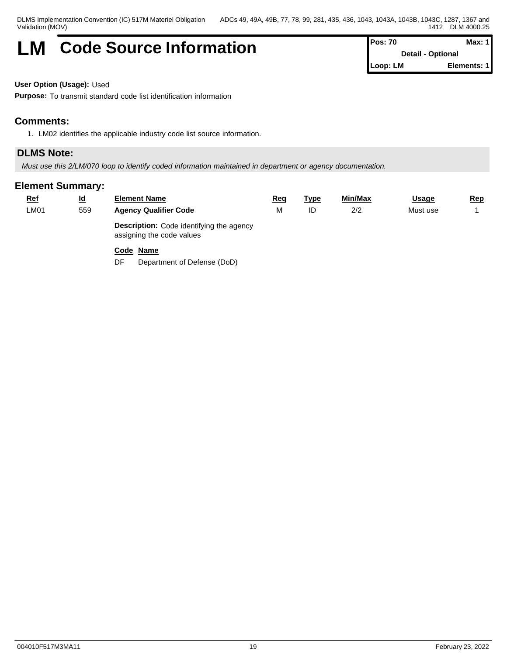## **LM** Code Source Information **Pos: 70** Max: 1

**Detail - Optional Loop: LM Elements: 1**

**User Option (Usage):** Used

**Purpose:** To transmit standard code list identification information

## **Comments:**

1. LM02 identifies the applicable industry code list source information.

## **DLMS Note:**

*Must use this 2/LM/070 loop to identify coded information maintained in department or agency documentation.*

## **Element Summary:**

| <u>Ref</u> | <u>ld</u> | <b>Element Name</b>                                                          | Req | <u>Type</u> | Min/Max | <u>Usage</u> | <u>Rep</u> |
|------------|-----------|------------------------------------------------------------------------------|-----|-------------|---------|--------------|------------|
| LMO1       | 559       | <b>Agency Qualifier Code</b>                                                 |     | ID          | 2/2     | Must use     |            |
|            |           | <b>Description:</b> Code identifying the agency<br>assigning the code values |     |             |         |              |            |

## **Code Name**

DF Department of Defense (DoD)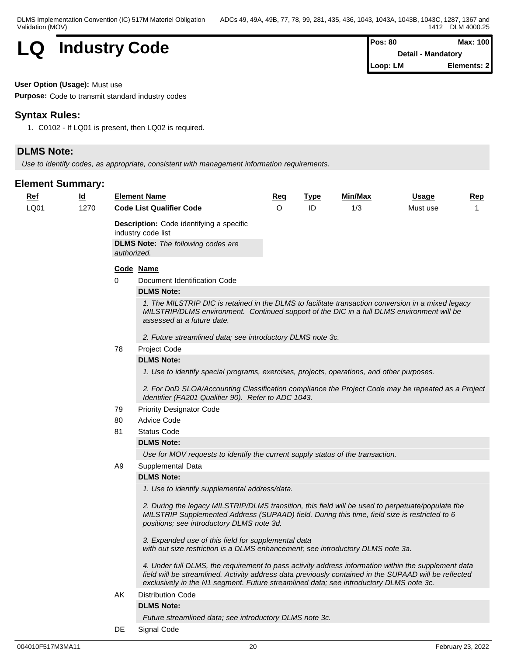

| Pos: 80  | Max: 100                  |
|----------|---------------------------|
|          | <b>Detail - Mandatory</b> |
| Loop: LM | Elements: 2               |

#### **User Option (Usage):** Must use

**Purpose:** Code to transmit standard industry codes

## **Syntax Rules:**

1. C0102 - If LQ01 is present, then LQ02 is required.

## **DLMS Note:**

*Use to identify codes, as appropriate, consistent with management information requirements.*

| $Ref$ | $\underline{\mathsf{Id}}$ |    | <b>Element Name</b>                                                                                                                                                                                                                                                                                    | <u>Req</u> | <b>Type</b> | <b>Min/Max</b> | <b>Usage</b> | Rep |  |  |  |
|-------|---------------------------|----|--------------------------------------------------------------------------------------------------------------------------------------------------------------------------------------------------------------------------------------------------------------------------------------------------------|------------|-------------|----------------|--------------|-----|--|--|--|
| LQ01  | 1270                      |    | <b>Code List Qualifier Code</b>                                                                                                                                                                                                                                                                        | O          | ID          | 1/3            | Must use     |     |  |  |  |
|       |                           |    | <b>Description:</b> Code identifying a specific<br>industry code list                                                                                                                                                                                                                                  |            |             |                |              |     |  |  |  |
|       |                           |    | <b>DLMS Note:</b> The following codes are<br>authorized.                                                                                                                                                                                                                                               |            |             |                |              |     |  |  |  |
|       |                           |    | Code Name                                                                                                                                                                                                                                                                                              |            |             |                |              |     |  |  |  |
|       |                           | 0  | Document Identification Code                                                                                                                                                                                                                                                                           |            |             |                |              |     |  |  |  |
|       |                           |    | <b>DLMS Note:</b>                                                                                                                                                                                                                                                                                      |            |             |                |              |     |  |  |  |
|       |                           |    | 1. The MILSTRIP DIC is retained in the DLMS to facilitate transaction conversion in a mixed legacy<br>MILSTRIP/DLMS environment. Continued support of the DIC in a full DLMS environment will be<br>assessed at a future date.                                                                         |            |             |                |              |     |  |  |  |
|       |                           |    | 2. Future streamlined data; see introductory DLMS note 3c.                                                                                                                                                                                                                                             |            |             |                |              |     |  |  |  |
|       |                           | 78 | Project Code                                                                                                                                                                                                                                                                                           |            |             |                |              |     |  |  |  |
|       |                           |    | <b>DLMS Note:</b>                                                                                                                                                                                                                                                                                      |            |             |                |              |     |  |  |  |
|       |                           |    | 1. Use to identify special programs, exercises, projects, operations, and other purposes.                                                                                                                                                                                                              |            |             |                |              |     |  |  |  |
|       |                           |    | 2. For DoD SLOA/Accounting Classification compliance the Project Code may be repeated as a Project<br>Identifier (FA201 Qualifier 90). Refer to ADC 1043.                                                                                                                                              |            |             |                |              |     |  |  |  |
|       |                           | 79 | <b>Priority Designator Code</b>                                                                                                                                                                                                                                                                        |            |             |                |              |     |  |  |  |
|       |                           | 80 | <b>Advice Code</b>                                                                                                                                                                                                                                                                                     |            |             |                |              |     |  |  |  |
|       |                           | 81 | <b>Status Code</b>                                                                                                                                                                                                                                                                                     |            |             |                |              |     |  |  |  |
|       |                           |    | <b>DLMS Note:</b>                                                                                                                                                                                                                                                                                      |            |             |                |              |     |  |  |  |
|       |                           |    | Use for MOV requests to identify the current supply status of the transaction.                                                                                                                                                                                                                         |            |             |                |              |     |  |  |  |
|       |                           | A9 | Supplemental Data                                                                                                                                                                                                                                                                                      |            |             |                |              |     |  |  |  |
|       |                           |    | <b>DLMS Note:</b>                                                                                                                                                                                                                                                                                      |            |             |                |              |     |  |  |  |
|       |                           |    | 1. Use to identify supplemental address/data.                                                                                                                                                                                                                                                          |            |             |                |              |     |  |  |  |
|       |                           |    | 2. During the legacy MILSTRIP/DLMS transition, this field will be used to perpetuate/populate the<br>MILSTRIP Supplemented Address (SUPAAD) field. During this time, field size is restricted to 6<br>positions; see introductory DLMS note 3d.                                                        |            |             |                |              |     |  |  |  |
|       |                           |    | 3. Expanded use of this field for supplemental data<br>with out size restriction is a DLMS enhancement; see introductory DLMS note 3a.                                                                                                                                                                 |            |             |                |              |     |  |  |  |
|       |                           |    | 4. Under full DLMS, the requirement to pass activity address information within the supplement data<br>field will be streamlined. Activity address data previously contained in the SUPAAD will be reflected<br>exclusively in the N1 segment. Future streamlined data; see introductory DLMS note 3c. |            |             |                |              |     |  |  |  |
|       |                           | AK | <b>Distribution Code</b>                                                                                                                                                                                                                                                                               |            |             |                |              |     |  |  |  |
|       |                           |    | <b>DLMS Note:</b>                                                                                                                                                                                                                                                                                      |            |             |                |              |     |  |  |  |
|       |                           |    | Future streamlined data; see introductory DLMS note 3c.                                                                                                                                                                                                                                                |            |             |                |              |     |  |  |  |
|       |                           | DE | Signal Code                                                                                                                                                                                                                                                                                            |            |             |                |              |     |  |  |  |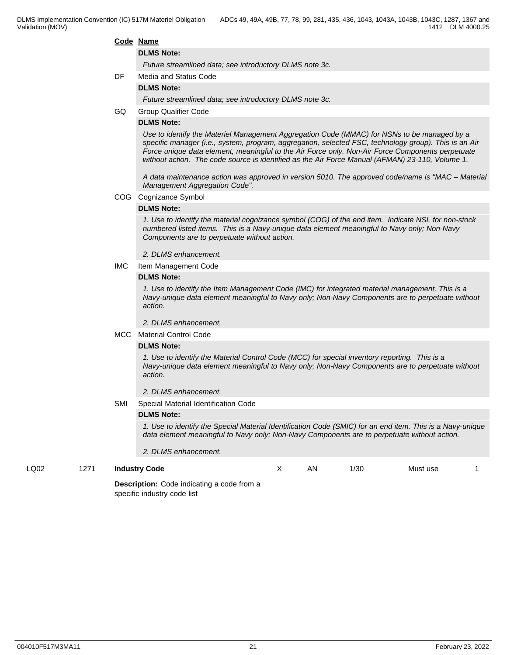#### **Code Name**

#### **DLMS Note:**

*Future streamlined data; see introductory DLMS note 3c.*

#### DF Media and Status Code

#### **DLMS Note:**

*Future streamlined data; see introductory DLMS note 3c.*

GQ Group Qualifier Code

#### **DLMS Note:**

*Use to identify the Materiel Management Aggregation Code (MMAC) for NSNs to be managed by a specific manager (i.e., system, program, aggregation, selected FSC, technology group). This is an Air Force unique data element, meaningful to the Air Force only. Non-Air Force Components perpetuate without action. The code source is identified as the Air Force Manual (AFMAN) 23-110, Volume 1.*

*A data maintenance action was approved in version 5010. The approved code/name is "MAC – Material Management Aggregation Code".*

COG Cognizance Symbol

#### **DLMS Note:**

*1. Use to identify the material cognizance symbol (COG) of the end item. Indicate NSL for non-stock numbered listed items. This is a Navy-unique data element meaningful to Navy only; Non-Navy Components are to perpetuate without action.*

*2. DLMS enhancement.*

IMC Item Management Code

#### **DLMS Note:**

*1. Use to identify the Item Management Code (IMC) for integrated material management. This is a Navy-unique data element meaningful to Navy only; Non-Navy Components are to perpetuate without action.*

*2. DLMS enhancement.*

#### MCC Material Control Code

#### **DLMS Note:**

*1. Use to identify the Material Control Code (MCC) for special inventory reporting. This is a Navy-unique data element meaningful to Navy only; Non-Navy Components are to perpetuate without action.*

*2. DLMS enhancement.*

#### SMI Special Material Identification Code

#### **DLMS Note:**

*1. Use to identify the Special Material Identification Code (SMIC) for an end item. This is a Navy-unique data element meaningful to Navy only; Non-Navy Components are to perpetuate without action.*

*2. DLMS enhancement.*

LQ02 1271 **Industry Code**

X AN 1/30 Must use 1

**Description:** Code indicating a code from a specific industry code list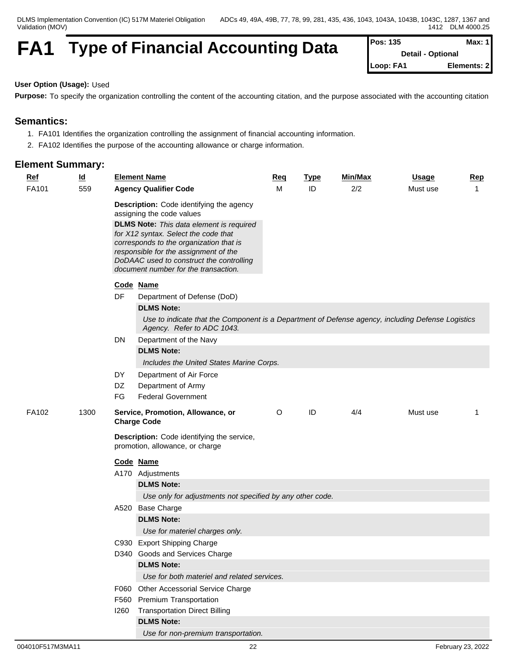DLMS Implementation Convention (IC) 517M Materiel Obligation Validation (MOV)

# **FA1** Type of Financial Accounting Data

| Pos: 135  | Max: $11$                |
|-----------|--------------------------|
|           | <b>Detail - Optional</b> |
| Loop: FA1 | Elements: 2              |

### **User Option (Usage):** Used

**Purpose:** To specify the organization controlling the content of the accounting citation, and the purpose associated with the accounting citation

## **Semantics:**

- 1. FA101 Identifies the organization controlling the assignment of financial accounting information.
- 2. FA102 Identifies the purpose of the accounting allowance or charge information.

| $Ref$ | $\overline{\mathsf{q}}$ |           | <b>Element Name</b>                                                                                                             | Req     | <b>Type</b> | Min/Max | <b>Usage</b> | <b>Rep</b> |
|-------|-------------------------|-----------|---------------------------------------------------------------------------------------------------------------------------------|---------|-------------|---------|--------------|------------|
| FA101 | 559                     |           | <b>Agency Qualifier Code</b>                                                                                                    | м       | ID          | 2/2     | Must use     | -1         |
|       |                         |           | <b>Description:</b> Code identifying the agency                                                                                 |         |             |         |              |            |
|       |                         |           | assigning the code values                                                                                                       |         |             |         |              |            |
|       |                         |           | <b>DLMS Note:</b> This data element is required<br>for X12 syntax. Select the code that                                         |         |             |         |              |            |
|       |                         |           | corresponds to the organization that is                                                                                         |         |             |         |              |            |
|       |                         |           | responsible for the assignment of the                                                                                           |         |             |         |              |            |
|       |                         |           | DoDAAC used to construct the controlling<br>document number for the transaction.                                                |         |             |         |              |            |
|       |                         |           |                                                                                                                                 |         |             |         |              |            |
|       |                         | Code Name |                                                                                                                                 |         |             |         |              |            |
|       |                         | DF        | Department of Defense (DoD)<br><b>DLMS Note:</b>                                                                                |         |             |         |              |            |
|       |                         |           |                                                                                                                                 |         |             |         |              |            |
|       |                         |           | Use to indicate that the Component is a Department of Defense agency, including Defense Logistics<br>Agency. Refer to ADC 1043. |         |             |         |              |            |
|       |                         | DN        | Department of the Navy                                                                                                          |         |             |         |              |            |
|       |                         |           | <b>DLMS Note:</b>                                                                                                               |         |             |         |              |            |
|       |                         |           | Includes the United States Marine Corps.                                                                                        |         |             |         |              |            |
|       |                         | DY        | Department of Air Force                                                                                                         |         |             |         |              |            |
|       |                         | DZ        | Department of Army                                                                                                              |         |             |         |              |            |
|       |                         | FG        | <b>Federal Government</b>                                                                                                       |         |             |         |              |            |
| FA102 | 1300                    |           | Service, Promotion, Allowance, or<br><b>Charge Code</b>                                                                         | $\circ$ | ID          | 4/4     | Must use     | -1         |
|       |                         |           | <b>Description:</b> Code identifying the service,<br>promotion, allowance, or charge                                            |         |             |         |              |            |
|       |                         |           | Code Name                                                                                                                       |         |             |         |              |            |
|       |                         |           | A170 Adjustments                                                                                                                |         |             |         |              |            |
|       |                         |           | <b>DLMS Note:</b>                                                                                                               |         |             |         |              |            |
|       |                         |           | Use only for adjustments not specified by any other code.                                                                       |         |             |         |              |            |
|       |                         | A520      | <b>Base Charge</b>                                                                                                              |         |             |         |              |            |
|       |                         |           | <b>DLMS Note:</b>                                                                                                               |         |             |         |              |            |
|       |                         |           | Use for materiel charges only.                                                                                                  |         |             |         |              |            |
|       |                         |           | C930 Export Shipping Charge                                                                                                     |         |             |         |              |            |
|       |                         |           | D340 Goods and Services Charge                                                                                                  |         |             |         |              |            |
|       |                         |           | <b>DLMS Note:</b>                                                                                                               |         |             |         |              |            |
|       |                         |           | Use for both materiel and related services.                                                                                     |         |             |         |              |            |
|       |                         |           | F060 Other Accessorial Service Charge                                                                                           |         |             |         |              |            |
|       |                         |           | F560 Premium Transportation                                                                                                     |         |             |         |              |            |
|       |                         | 1260      | <b>Transportation Direct Billing</b>                                                                                            |         |             |         |              |            |
|       |                         |           | <b>DLMS Note:</b>                                                                                                               |         |             |         |              |            |
|       |                         |           | Use for non-premium transportation.                                                                                             |         |             |         |              |            |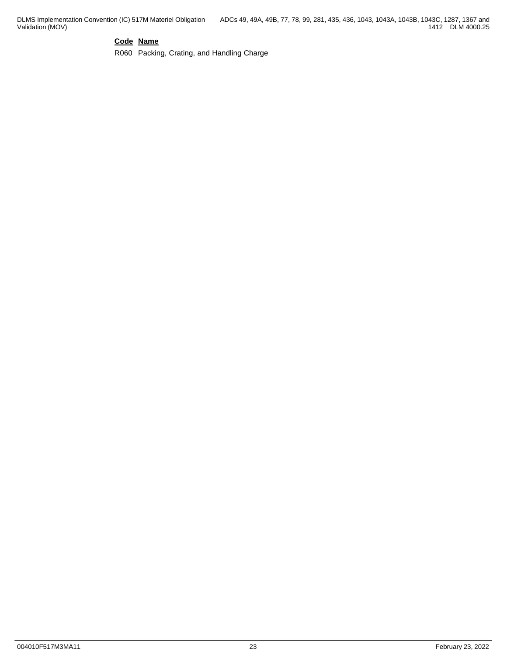## **Code Name**

R060 Packing, Crating, and Handling Charge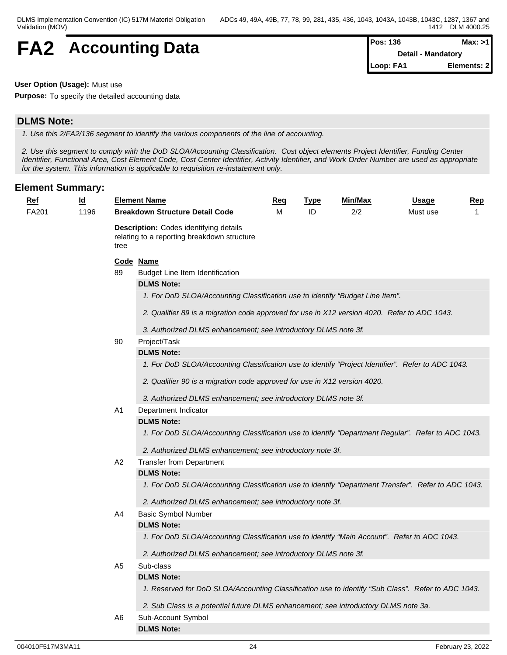## **FA2** Accounting Data

| lPos: 136 | Max: > 11                 |
|-----------|---------------------------|
|           | <b>Detail - Mandatory</b> |
| Loop: FA1 | Elements: 2               |

**User Option (Usage):** Must use

**Purpose:** To specify the detailed accounting data

## **DLMS Note:**

*1. Use this 2/FA2/136 segment to identify the various components of the line of accounting.*

*2. Use this segment to comply with the DoD SLOA/Accounting Classification. Cost object elements Project Identifier, Funding Center Identifier, Functional Area, Cost Element Code, Cost Center Identifier, Activity Identifier, and Work Order Number are used as appropriate for the system. This information is applicable to requisition re-instatement only.*

| <u>Ref</u> | $\underline{\mathsf{Id}}$ |                | <b>Element Name</b>                                                                                 | Req | <b>Type</b> | Min/Max | <u>Usage</u> | <b>Rep</b> |  |  |  |  |
|------------|---------------------------|----------------|-----------------------------------------------------------------------------------------------------|-----|-------------|---------|--------------|------------|--|--|--|--|
| FA201      | 1196                      |                | <b>Breakdown Structure Detail Code</b>                                                              | М   | ID          | 2/2     | Must use     |            |  |  |  |  |
|            |                           | tree           | <b>Description:</b> Codes identifying details<br>relating to a reporting breakdown structure        |     |             |         |              |            |  |  |  |  |
|            |                           |                | Code Name                                                                                           |     |             |         |              |            |  |  |  |  |
|            |                           | 89             | Budget Line Item Identification                                                                     |     |             |         |              |            |  |  |  |  |
|            |                           |                | <b>DLMS Note:</b>                                                                                   |     |             |         |              |            |  |  |  |  |
|            |                           |                | 1. For DoD SLOA/Accounting Classification use to identify "Budget Line Item".                       |     |             |         |              |            |  |  |  |  |
|            |                           |                | 2. Qualifier 89 is a migration code approved for use in X12 version 4020. Refer to ADC 1043.        |     |             |         |              |            |  |  |  |  |
|            |                           |                | 3. Authorized DLMS enhancement; see introductory DLMS note 3f.                                      |     |             |         |              |            |  |  |  |  |
|            |                           | 90             | Project/Task                                                                                        |     |             |         |              |            |  |  |  |  |
|            |                           |                | <b>DLMS Note:</b>                                                                                   |     |             |         |              |            |  |  |  |  |
|            |                           |                | 1. For DoD SLOA/Accounting Classification use to identify "Project Identifier". Refer to ADC 1043.  |     |             |         |              |            |  |  |  |  |
|            |                           |                | 2. Qualifier 90 is a migration code approved for use in X12 version 4020.                           |     |             |         |              |            |  |  |  |  |
|            |                           |                | 3. Authorized DLMS enhancement; see introductory DLMS note 3f.                                      |     |             |         |              |            |  |  |  |  |
|            |                           | A1             | Department Indicator                                                                                |     |             |         |              |            |  |  |  |  |
|            |                           |                | <b>DLMS Note:</b>                                                                                   |     |             |         |              |            |  |  |  |  |
|            |                           |                | 1. For DoD SLOA/Accounting Classification use to identify "Department Regular". Refer to ADC 1043.  |     |             |         |              |            |  |  |  |  |
|            |                           |                | 2. Authorized DLMS enhancement; see introductory note 3f.                                           |     |             |         |              |            |  |  |  |  |
|            |                           | A <sub>2</sub> | <b>Transfer from Department</b>                                                                     |     |             |         |              |            |  |  |  |  |
|            |                           |                | <b>DLMS Note:</b>                                                                                   |     |             |         |              |            |  |  |  |  |
|            |                           |                | 1. For DoD SLOA/Accounting Classification use to identify "Department Transfer". Refer to ADC 1043. |     |             |         |              |            |  |  |  |  |
|            |                           |                | 2. Authorized DLMS enhancement; see introductory note 3f.                                           |     |             |         |              |            |  |  |  |  |
|            |                           | A4             | <b>Basic Symbol Number</b>                                                                          |     |             |         |              |            |  |  |  |  |
|            |                           |                | <b>DLMS Note:</b>                                                                                   |     |             |         |              |            |  |  |  |  |
|            |                           |                | 1. For DoD SLOA/Accounting Classification use to identify "Main Account". Refer to ADC 1043.        |     |             |         |              |            |  |  |  |  |
|            |                           |                | 2. Authorized DLMS enhancement; see introductory DLMS note 3f.                                      |     |             |         |              |            |  |  |  |  |
|            |                           | A <sub>5</sub> | Sub-class                                                                                           |     |             |         |              |            |  |  |  |  |
|            |                           |                | <b>DLMS Note:</b>                                                                                   |     |             |         |              |            |  |  |  |  |
|            |                           |                | 1. Reserved for DoD SLOA/Accounting Classification use to identify "Sub Class". Refer to ADC 1043.  |     |             |         |              |            |  |  |  |  |
|            |                           |                | 2. Sub Class is a potential future DLMS enhancement; see introductory DLMS note 3a.                 |     |             |         |              |            |  |  |  |  |
|            |                           | A6             | Sub-Account Symbol                                                                                  |     |             |         |              |            |  |  |  |  |
|            |                           |                | <b>DLMS Note:</b>                                                                                   |     |             |         |              |            |  |  |  |  |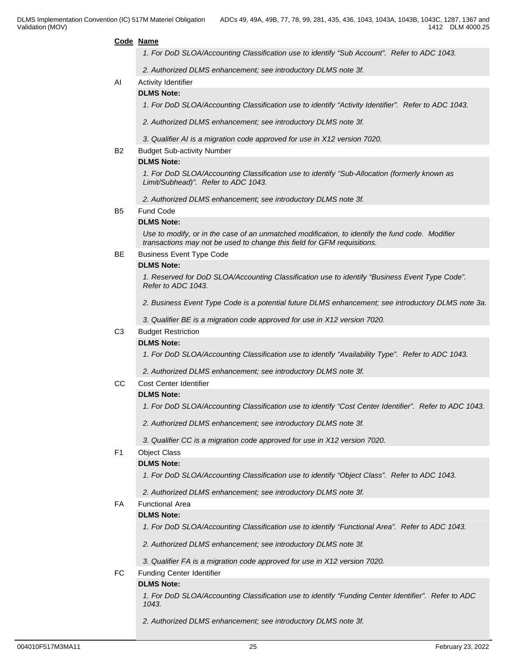#### **Code Name**

*1. For DoD SLOA/Accounting Classification use to identify "Sub Account". Refer to ADC 1043.*

*2. Authorized DLMS enhancement; see introductory DLMS note 3f.*

- AI Activity Identifier
	- **DLMS Note:**

*1. For DoD SLOA/Accounting Classification use to identify "Activity Identifier". Refer to ADC 1043.*

*2. Authorized DLMS enhancement; see introductory DLMS note 3f.*

*3. Qualifier AI is a migration code approved for use in X12 version 7020.*

B2 Budget Sub-activity Number

#### **DLMS Note:**

*1. For DoD SLOA/Accounting Classification use to identify "Sub-Allocation (formerly known as Limit/Subhead)". Refer to ADC 1043.*

*2. Authorized DLMS enhancement; see introductory DLMS note 3f.*

#### B5 Fund Code

#### **DLMS Note:**

*Use to modify, or in the case of an unmatched modification, to identify the fund code. Modifier transactions may not be used to change this field for GFM requisitions.*

#### BE Business Event Type Code

#### **DLMS Note:**

*1. Reserved for DoD SLOA/Accounting Classification use to identify "Business Event Type Code". Refer to ADC 1043.*

*2. Business Event Type Code is a potential future DLMS enhancement; see introductory DLMS note 3a.*

*3. Qualifier BE is a migration code approved for use in X12 version 7020.*

#### C3 Budget Restriction

#### **DLMS Note:**

*1. For DoD SLOA/Accounting Classification use to identify "Availability Type". Refer to ADC 1043.*

*2. Authorized DLMS enhancement; see introductory DLMS note 3f.*

#### CC Cost Center Identifier

#### **DLMS Note:**

*1. For DoD SLOA/Accounting Classification use to identify "Cost Center Identifier". Refer to ADC 1043.*

*2. Authorized DLMS enhancement; see introductory DLMS note 3f.*

*3. Qualifier CC is a migration code approved for use in X12 version 7020.*

#### F1 Object Class

#### **DLMS Note:**

*1. For DoD SLOA/Accounting Classification use to identify "Object Class". Refer to ADC 1043.*

*2. Authorized DLMS enhancement; see introductory DLMS note 3f.*

## FA Functional Area

## **DLMS Note:**

*1. For DoD SLOA/Accounting Classification use to identify "Functional Area". Refer to ADC 1043.*

- *2. Authorized DLMS enhancement; see introductory DLMS note 3f.*
- *3. Qualifier FA is a migration code approved for use in X12 version 7020.*
- FC Funding Center Identifier

## **DLMS Note:**

*1. For DoD SLOA/Accounting Classification use to identify "Funding Center Identifier". Refer to ADC 1043.*

*2. Authorized DLMS enhancement; see introductory DLMS note 3f.*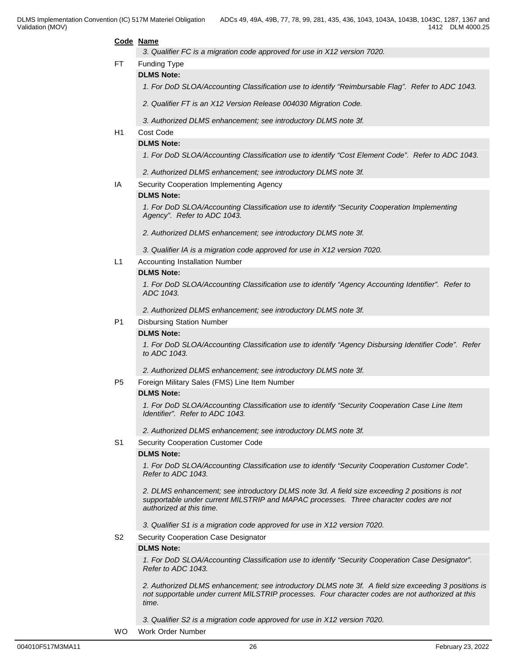#### **Code Name**

*3. Qualifier FC is a migration code approved for use in X12 version 7020.*

FT Funding Type

#### **DLMS Note:**

1. For DoD SLOA/Accounting Classification use to identify "Reimbursable Flag". Refer to ADC 1043.

*2. Qualifier FT is an X12 Version Release 004030 Migration Code.* 

- *3. Authorized DLMS enhancement; see introductory DLMS note 3f.*
- H1 Cost Code

#### **DLMS Note:**

*1. For DoD SLOA/Accounting Classification use to identify "Cost Element Code". Refer to ADC 1043.*

*2. Authorized DLMS enhancement; see introductory DLMS note 3f.*

IA Security Cooperation Implementing Agency

#### **DLMS Note:**

*1. For DoD SLOA/Accounting Classification use to identify "Security Cooperation Implementing Agency". Refer to ADC 1043.*

*2. Authorized DLMS enhancement; see introductory DLMS note 3f.*

*3. Qualifier IA is a migration code approved for use in X12 version 7020.*

L1 Accounting Installation Number

#### **DLMS Note:**

*1. For DoD SLOA/Accounting Classification use to identify "Agency Accounting Identifier". Refer to ADC 1043.* 

*2. Authorized DLMS enhancement; see introductory DLMS note 3f.*

#### P1 Disbursing Station Number

#### **DLMS Note:**

*1. For DoD SLOA/Accounting Classification use to identify "Agency Disbursing Identifier Code". Refer to ADC 1043.*

*2. Authorized DLMS enhancement; see introductory DLMS note 3f.*

P5 Foreign Military Sales (FMS) Line Item Number

#### **DLMS Note:**

*1. For DoD SLOA/Accounting Classification use to identify "Security Cooperation Case Line Item Identifier". Refer to ADC 1043.*

*2. Authorized DLMS enhancement; see introductory DLMS note 3f.*

#### S1 Security Cooperation Customer Code

#### **DLMS Note:**

*1. For DoD SLOA/Accounting Classification use to identify "Security Cooperation Customer Code". Refer to ADC 1043.*

*2. DLMS enhancement; see introductory DLMS note 3d. A field size exceeding 2 positions is not supportable under current MILSTRIP and MAPAC processes. Three character codes are not authorized at this time.*

*3. Qualifier S1 is a migration code approved for use in X12 version 7020.*

#### S2 Security Cooperation Case Designator

#### **DLMS Note:**

*1. For DoD SLOA/Accounting Classification use to identify "Security Cooperation Case Designator". Refer to ADC 1043.*

*2. Authorized DLMS enhancement; see introductory DLMS note 3f. A field size exceeding 3 positions is not supportable under current MILSTRIP processes. Four character codes are not authorized at this time.*

*3. Qualifier S2 is a migration code approved for use in X12 version 7020.*

WO Work Order Number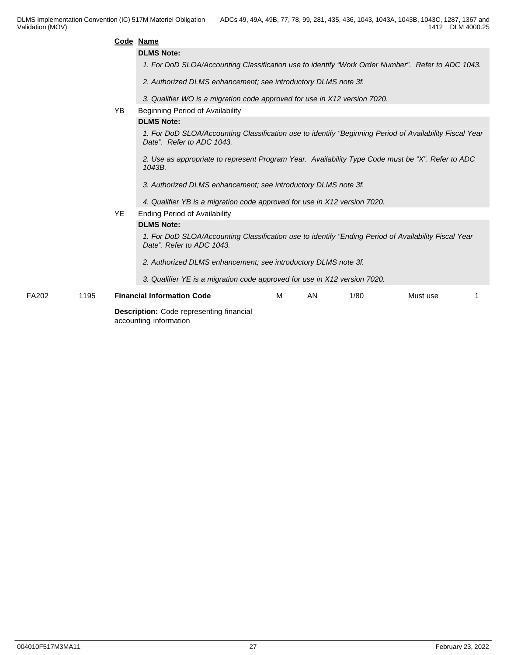|       |      |           | Code Name                                                                                                                            |
|-------|------|-----------|--------------------------------------------------------------------------------------------------------------------------------------|
|       |      |           | <b>DLMS Note:</b>                                                                                                                    |
|       |      |           | 1. For DoD SLOA/Accounting Classification use to identify "Work Order Number". Refer to ADC 1043.                                    |
|       |      |           | 2. Authorized DLMS enhancement; see introductory DLMS note 3f.                                                                       |
|       |      |           | 3. Qualifier WO is a migration code approved for use in X12 version 7020.                                                            |
|       |      | YB.       | Beginning Period of Availability                                                                                                     |
|       |      |           | <b>DLMS Note:</b>                                                                                                                    |
|       |      |           | 1. For DoD SLOA/Accounting Classification use to identify "Beginning Period of Availability Fiscal Year<br>Date". Refer to ADC 1043. |
|       |      |           | 2. Use as appropriate to represent Program Year. Availability Type Code must be "X". Refer to ADC<br>1043B.                          |
|       |      |           | 3. Authorized DLMS enhancement; see introductory DLMS note 3f.                                                                       |
|       |      |           | 4. Qualifier YB is a migration code approved for use in X12 version 7020.                                                            |
|       |      | <b>YE</b> | <b>Ending Period of Availability</b>                                                                                                 |
|       |      |           | <b>DLMS Note:</b>                                                                                                                    |
|       |      |           | 1. For DoD SLOA/Accounting Classification use to identify "Ending Period of Availability Fiscal Year<br>Date". Refer to ADC 1043.    |
|       |      |           | 2. Authorized DLMS enhancement; see introductory DLMS note 3f.                                                                       |
|       |      |           | 3. Qualifier YE is a migration code approved for use in X12 version 7020.                                                            |
| FA202 | 1195 |           | <b>Financial Information Code</b><br>M<br>AN<br>1/80<br>Must use                                                                     |
|       |      |           | Description: Code representing financial<br>accounting information                                                                   |